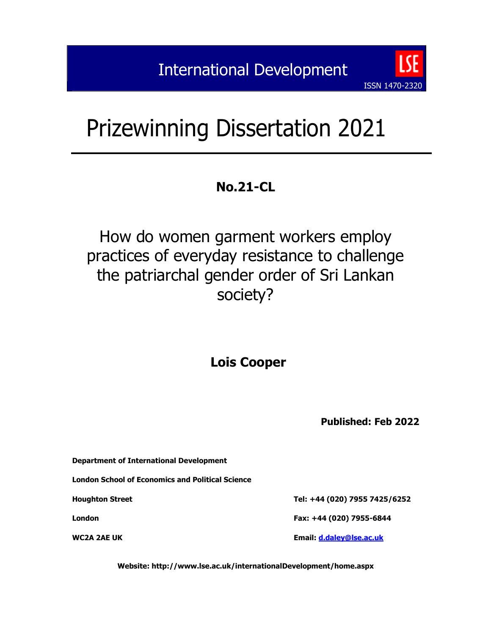# Prizewinning Dissertation 2021

# **No.21-CL**

# How do women garment workers employ practices of everyday resistance to challenge the patriarchal gender order of Sri Lankan society?

# **Lois Cooper**

**Published: Feb 2022**

ISSN 1470-2320

**Department of International Development**

**London School of Economics and Political Science**

**Houghton Street Tel: +44 (020) 7955 7425/6252**

**London Fax: +44 (020) 7955-6844**

**WC2A 2AE UK Email: [d.daley@lse.ac.uk](mailto:d.daley@lse.ac.uk)**

**Website: http://www.lse.ac.uk/internationalDevelopment/home.aspx**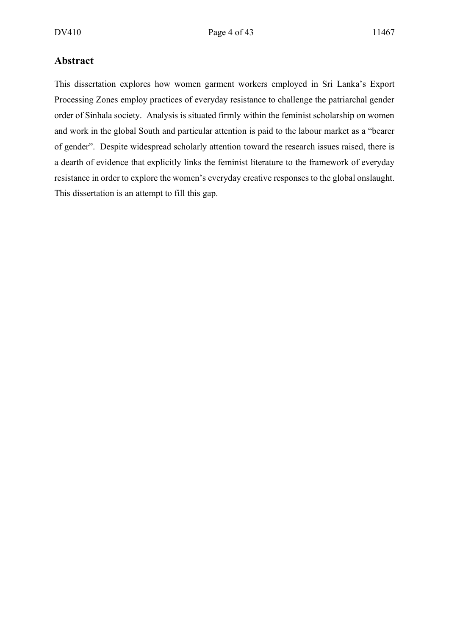#### **Abstract**

This dissertation explores how women garment workers employed in Sri Lanka's Export Processing Zones employ practices of everyday resistance to challenge the patriarchal gender order of Sinhala society. Analysis is situated firmly within the feminist scholarship on women and work in the global South and particular attention is paid to the labour market as a "bearer of gender". Despite widespread scholarly attention toward the research issues raised, there is a dearth of evidence that explicitly links the feminist literature to the framework of everyday resistance in order to explore the women's everyday creative responses to the global onslaught. This dissertation is an attempt to fill this gap.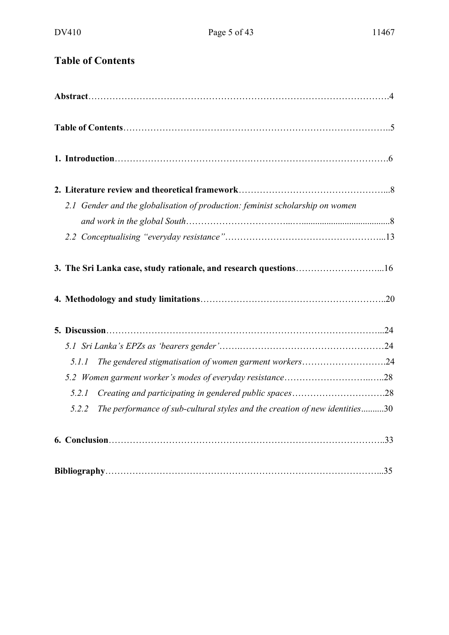## **Table of Contents**

| 2.1 Gender and the globalisation of production: feminist scholarship on women        |  |
|--------------------------------------------------------------------------------------|--|
|                                                                                      |  |
|                                                                                      |  |
| 3. The Sri Lanka case, study rationale, and research questions16                     |  |
|                                                                                      |  |
|                                                                                      |  |
|                                                                                      |  |
|                                                                                      |  |
| The gendered stigmatisation of women garment workers24<br>5.1.1                      |  |
|                                                                                      |  |
| Creating and participating in gendered public spaces28<br>5.2.1                      |  |
| The performance of sub-cultural styles and the creation of new identities30<br>5.2.2 |  |
|                                                                                      |  |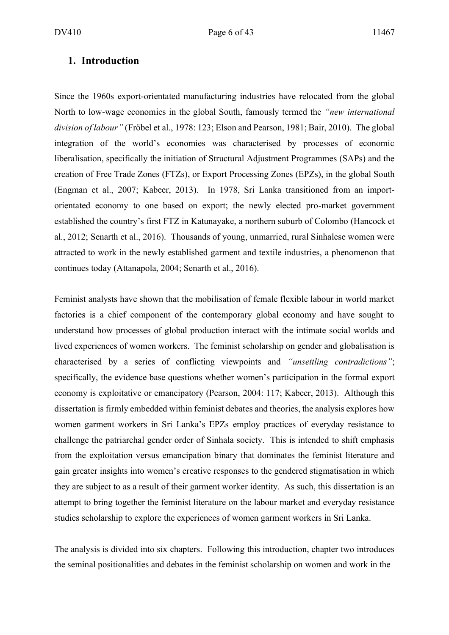#### **1. Introduction**

Since the 1960s export-orientated manufacturing industries have relocated from the global North to low-wage economies in the global South, famously termed the *"new international division of labour"* (Fröbel et al., 1978: 123; Elson and Pearson, 1981; Bair, 2010). The global integration of the world's economies was characterised by processes of economic liberalisation, specifically the initiation of Structural Adjustment Programmes (SAPs) and the creation of Free Trade Zones (FTZs), or Export Processing Zones (EPZs), in the global South (Engman et al., 2007; Kabeer, 2013). In 1978, Sri Lanka transitioned from an importorientated economy to one based on export; the newly elected pro-market government established the country's first FTZ in Katunayake, a northern suburb of Colombo (Hancock et al., 2012; Senarth et al., 2016). Thousands of young, unmarried, rural Sinhalese women were attracted to work in the newly established garment and textile industries, a phenomenon that continues today (Attanapola, 2004; Senarth et al., 2016).

Feminist analysts have shown that the mobilisation of female flexible labour in world market factories is a chief component of the contemporary global economy and have sought to understand how processes of global production interact with the intimate social worlds and lived experiences of women workers. The feminist scholarship on gender and globalisation is characterised by a series of conflicting viewpoints and *"unsettling contradictions"*; specifically, the evidence base questions whether women's participation in the formal export economy is exploitative or emancipatory (Pearson, 2004: 117; Kabeer, 2013). Although this dissertation is firmly embedded within feminist debates and theories, the analysis explores how women garment workers in Sri Lanka's EPZs employ practices of everyday resistance to challenge the patriarchal gender order of Sinhala society. This is intended to shift emphasis from the exploitation versus emancipation binary that dominates the feminist literature and gain greater insights into women's creative responses to the gendered stigmatisation in which they are subject to as a result of their garment worker identity. As such, this dissertation is an attempt to bring together the feminist literature on the labour market and everyday resistance studies scholarship to explore the experiences of women garment workers in Sri Lanka.

The analysis is divided into six chapters. Following this introduction, chapter two introduces the seminal positionalities and debates in the feminist scholarship on women and work in the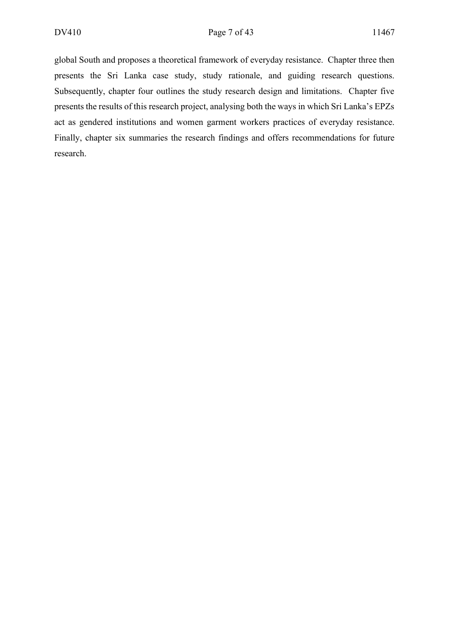global South and proposes a theoretical framework of everyday resistance. Chapter three then presents the Sri Lanka case study, study rationale, and guiding research questions. Subsequently, chapter four outlines the study research design and limitations. Chapter five presents the results of this research project, analysing both the ways in which Sri Lanka's EPZs act as gendered institutions and women garment workers practices of everyday resistance. Finally, chapter six summaries the research findings and offers recommendations for future research.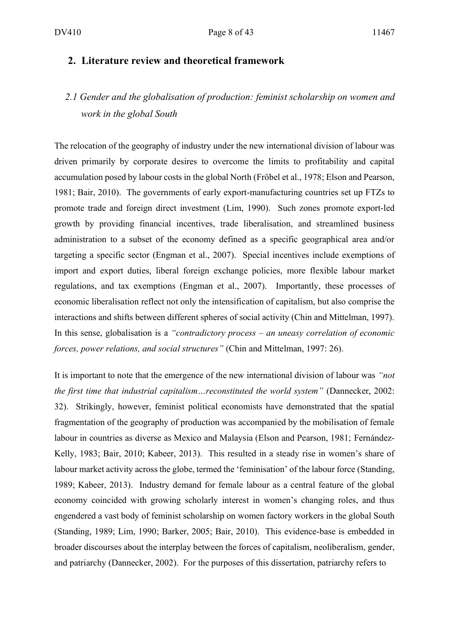#### **2. Literature review and theoretical framework**

### *2.1 Gender and the globalisation of production: feminist scholarship on women and work in the global South*

The relocation of the geography of industry under the new international division of labour was driven primarily by corporate desires to overcome the limits to profitability and capital accumulation posed by labour costs in the global North (Fröbel et al., 1978; Elson and Pearson, 1981; Bair, 2010). The governments of early export-manufacturing countries set up FTZs to promote trade and foreign direct investment (Lim, 1990). Such zones promote export-led growth by providing financial incentives, trade liberalisation, and streamlined business administration to a subset of the economy defined as a specific geographical area and/or targeting a specific sector (Engman et al., 2007). Special incentives include exemptions of import and export duties, liberal foreign exchange policies, more flexible labour market regulations, and tax exemptions (Engman et al., 2007). Importantly, these processes of economic liberalisation reflect not only the intensification of capitalism, but also comprise the interactions and shifts between different spheres of social activity (Chin and Mittelman, 1997). In this sense, globalisation is a *"contradictory process – an uneasy correlation of economic forces, power relations, and social structures"* (Chin and Mittelman, 1997: 26).

It is important to note that the emergence of the new international division of labour was *"not the first time that industrial capitalism…reconstituted the world system"* (Dannecker, 2002: 32). Strikingly, however, feminist political economists have demonstrated that the spatial fragmentation of the geography of production was accompanied by the mobilisation of female labour in countries as diverse as Mexico and Malaysia (Elson and Pearson, 1981; Fernández-Kelly, 1983; Bair, 2010; Kabeer, 2013). This resulted in a steady rise in women's share of labour market activity across the globe, termed the 'feminisation' of the labour force (Standing, 1989; Kabeer, 2013). Industry demand for female labour as a central feature of the global economy coincided with growing scholarly interest in women's changing roles, and thus engendered a vast body of feminist scholarship on women factory workers in the global South (Standing, 1989; Lim, 1990; Barker, 2005; Bair, 2010). This evidence-base is embedded in broader discourses about the interplay between the forces of capitalism, neoliberalism, gender, and patriarchy (Dannecker, 2002). For the purposes of this dissertation, patriarchy refers to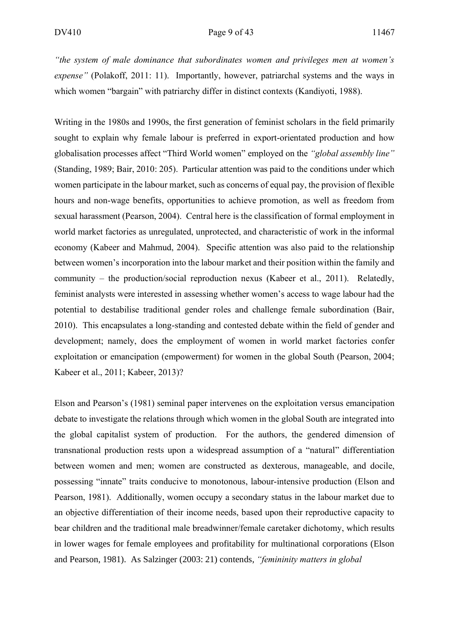*"the system of male dominance that subordinates women and privileges men at women's expense"* (Polakoff, 2011: 11). Importantly, however, patriarchal systems and the ways in which women "bargain" with patriarchy differ in distinct contexts (Kandiyoti, 1988).

Writing in the 1980s and 1990s, the first generation of feminist scholars in the field primarily sought to explain why female labour is preferred in export-orientated production and how globalisation processes affect "Third World women" employed on the *"global assembly line"*  (Standing, 1989; Bair, 2010: 205). Particular attention was paid to the conditions under which women participate in the labour market, such as concerns of equal pay, the provision of flexible hours and non-wage benefits, opportunities to achieve promotion, as well as freedom from sexual harassment (Pearson, 2004). Central here is the classification of formal employment in world market factories as unregulated, unprotected, and characteristic of work in the informal economy (Kabeer and Mahmud, 2004). Specific attention was also paid to the relationship between women's incorporation into the labour market and their position within the family and community – the production/social reproduction nexus (Kabeer et al., 2011). Relatedly, feminist analysts were interested in assessing whether women's access to wage labour had the potential to destabilise traditional gender roles and challenge female subordination (Bair, 2010). This encapsulates a long-standing and contested debate within the field of gender and development; namely, does the employment of women in world market factories confer exploitation or emancipation (empowerment) for women in the global South (Pearson, 2004; Kabeer et al., 2011; Kabeer, 2013)?

Elson and Pearson's (1981) seminal paper intervenes on the exploitation versus emancipation debate to investigate the relations through which women in the global South are integrated into the global capitalist system of production. For the authors, the gendered dimension of transnational production rests upon a widespread assumption of a "natural" differentiation between women and men; women are constructed as dexterous, manageable, and docile, possessing "innate" traits conducive to monotonous, labour-intensive production (Elson and Pearson, 1981). Additionally, women occupy a secondary status in the labour market due to an objective differentiation of their income needs, based upon their reproductive capacity to bear children and the traditional male breadwinner/female caretaker dichotomy, which results in lower wages for female employees and profitability for multinational corporations (Elson and Pearson, 1981). As Salzinger (2003: 21) contends, *"femininity matters in global*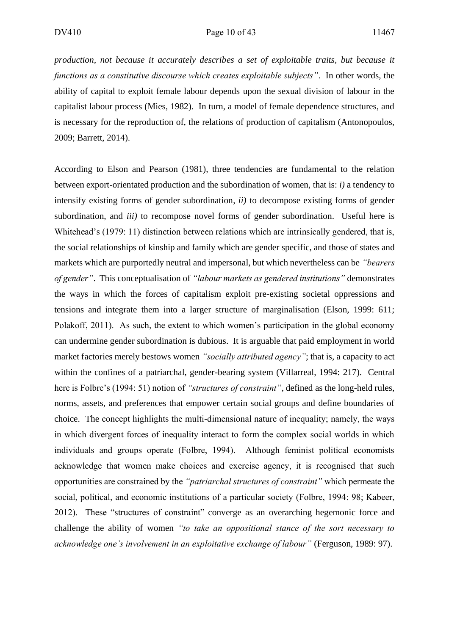*production, not because it accurately describes a set of exploitable traits, but because it functions as a constitutive discourse which creates exploitable subjects"*. In other words, the ability of capital to exploit female labour depends upon the sexual division of labour in the capitalist labour process (Mies, 1982). In turn, a model of female dependence structures, and is necessary for the reproduction of, the relations of production of capitalism (Antonopoulos, 2009; Barrett, 2014).

According to Elson and Pearson (1981), three tendencies are fundamental to the relation between export-orientated production and the subordination of women, that is: *i)* a tendency to intensify existing forms of gender subordination, *ii)* to decompose existing forms of gender subordination, and *iii)* to recompose novel forms of gender subordination. Useful here is Whitehead's (1979: 11) distinction between relations which are intrinsically gendered, that is, the social relationships of kinship and family which are gender specific, and those of states and markets which are purportedly neutral and impersonal, but which nevertheless can be *"bearers of gender"*. This conceptualisation of *"labour markets as gendered institutions"* demonstrates the ways in which the forces of capitalism exploit pre-existing societal oppressions and tensions and integrate them into a larger structure of marginalisation (Elson, 1999: 611; Polakoff, 2011). As such, the extent to which women's participation in the global economy can undermine gender subordination is dubious. It is arguable that paid employment in world market factories merely bestows women *"socially attributed agency"*; that is, a capacity to act within the confines of a patriarchal, gender-bearing system (Villarreal, 1994: 217). Central here is Folbre's (1994: 51) notion of *"structures of constraint"*, defined as the long-held rules, norms, assets, and preferences that empower certain social groups and define boundaries of choice. The concept highlights the multi-dimensional nature of inequality; namely, the ways in which divergent forces of inequality interact to form the complex social worlds in which individuals and groups operate (Folbre, 1994). Although feminist political economists acknowledge that women make choices and exercise agency, it is recognised that such opportunities are constrained by the *"patriarchal structures of constraint"* which permeate the social, political, and economic institutions of a particular society (Folbre, 1994: 98; Kabeer, 2012). These "structures of constraint" converge as an overarching hegemonic force and challenge the ability of women *"to take an oppositional stance of the sort necessary to acknowledge one's involvement in an exploitative exchange of labour"* (Ferguson, 1989: 97).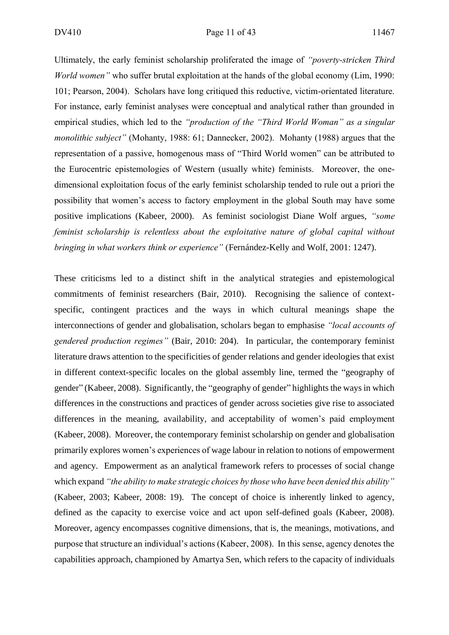Ultimately, the early feminist scholarship proliferated the image of *"poverty-stricken Third World women"* who suffer brutal exploitation at the hands of the global economy (Lim, 1990: 101; Pearson, 2004). Scholars have long critiqued this reductive, victim-orientated literature. For instance, early feminist analyses were conceptual and analytical rather than grounded in empirical studies, which led to the *"production of the "Third World Woman" as a singular monolithic subject"* (Mohanty, 1988: 61; Dannecker, 2002). Mohanty (1988) argues that the representation of a passive, homogenous mass of "Third World women" can be attributed to the Eurocentric epistemologies of Western (usually white) feminists. Moreover, the onedimensional exploitation focus of the early feminist scholarship tended to rule out a priori the possibility that women's access to factory employment in the global South may have some positive implications (Kabeer, 2000). As feminist sociologist Diane Wolf argues, *"some feminist scholarship is relentless about the exploitative nature of global capital without bringing in what workers think or experience"* (Fernández-Kelly and Wolf, 2001: 1247).

These criticisms led to a distinct shift in the analytical strategies and epistemological commitments of feminist researchers (Bair, 2010). Recognising the salience of contextspecific, contingent practices and the ways in which cultural meanings shape the interconnections of gender and globalisation, scholars began to emphasise *"local accounts of gendered production regimes"* (Bair, 2010: 204). In particular, the contemporary feminist literature draws attention to the specificities of gender relations and gender ideologies that exist in different context-specific locales on the global assembly line, termed the "geography of gender" (Kabeer, 2008). Significantly, the "geography of gender" highlights the ways in which differences in the constructions and practices of gender across societies give rise to associated differences in the meaning, availability, and acceptability of women's paid employment (Kabeer, 2008). Moreover, the contemporary feminist scholarship on gender and globalisation primarily explores women's experiences of wage labour in relation to notions of empowerment and agency. Empowerment as an analytical framework refers to processes of social change which expand *"the ability to make strategic choices by those who have been denied this ability"*  (Kabeer, 2003; Kabeer, 2008: 19). The concept of choice is inherently linked to agency, defined as the capacity to exercise voice and act upon self-defined goals (Kabeer, 2008). Moreover, agency encompasses cognitive dimensions, that is, the meanings, motivations, and purpose that structure an individual's actions (Kabeer, 2008). In this sense, agency denotes the capabilities approach, championed by Amartya Sen, which refers to the capacity of individuals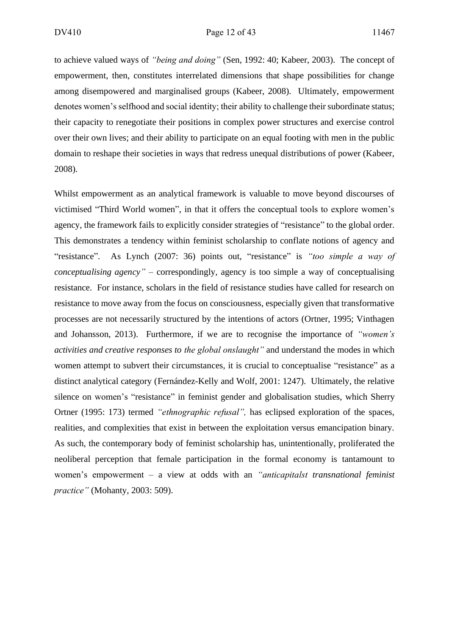to achieve valued ways of *"being and doing"* (Sen, 1992: 40; Kabeer, 2003). The concept of empowerment, then, constitutes interrelated dimensions that shape possibilities for change among disempowered and marginalised groups (Kabeer, 2008). Ultimately, empowerment denotes women's selfhood and social identity; their ability to challenge their subordinate status; their capacity to renegotiate their positions in complex power structures and exercise control over their own lives; and their ability to participate on an equal footing with men in the public domain to reshape their societies in ways that redress unequal distributions of power (Kabeer, 2008).

Whilst empowerment as an analytical framework is valuable to move beyond discourses of victimised "Third World women", in that it offers the conceptual tools to explore women's agency, the framework fails to explicitly consider strategies of "resistance" to the global order. This demonstrates a tendency within feminist scholarship to conflate notions of agency and "resistance". As Lynch (2007: 36) points out, "resistance" is *"too simple a way of conceptualising agency"* – correspondingly, agency is too simple a way of conceptualising resistance. For instance, scholars in the field of resistance studies have called for research on resistance to move away from the focus on consciousness, especially given that transformative processes are not necessarily structured by the intentions of actors (Ortner, 1995; Vinthagen and Johansson, 2013). Furthermore, if we are to recognise the importance of *"women's activities and creative responses to the global onslaught"* and understand the modes in which women attempt to subvert their circumstances, it is crucial to conceptualise "resistance" as a distinct analytical category (Fernández-Kelly and Wolf, 2001: 1247). Ultimately, the relative silence on women's "resistance" in feminist gender and globalisation studies, which Sherry Ortner (1995: 173) termed *"ethnographic refusal",* has eclipsed exploration of the spaces, realities, and complexities that exist in between the exploitation versus emancipation binary. As such, the contemporary body of feminist scholarship has, unintentionally, proliferated the neoliberal perception that female participation in the formal economy is tantamount to women's empowerment – a view at odds with an *"anticapitalst transnational feminist practice"* (Mohanty, 2003: 509).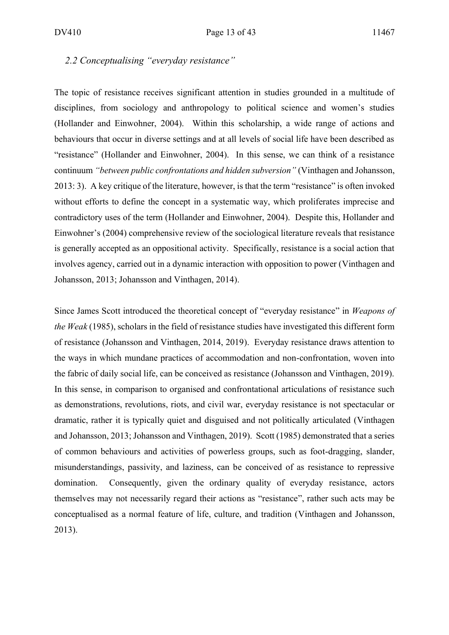#### *2.2 Conceptualising "everyday resistance"*

The topic of resistance receives significant attention in studies grounded in a multitude of disciplines, from sociology and anthropology to political science and women's studies (Hollander and Einwohner, 2004). Within this scholarship, a wide range of actions and behaviours that occur in diverse settings and at all levels of social life have been described as "resistance" (Hollander and Einwohner, 2004). In this sense, we can think of a resistance continuum *"between public confrontations and hidden subversion"* (Vinthagen and Johansson, 2013: 3). A key critique of the literature, however, is that the term "resistance" is often invoked without efforts to define the concept in a systematic way, which proliferates imprecise and contradictory uses of the term (Hollander and Einwohner, 2004). Despite this, Hollander and Einwohner's (2004) comprehensive review of the sociological literature reveals that resistance is generally accepted as an oppositional activity. Specifically, resistance is a social action that involves agency, carried out in a dynamic interaction with opposition to power (Vinthagen and Johansson, 2013; Johansson and Vinthagen, 2014).

Since James Scott introduced the theoretical concept of "everyday resistance" in *Weapons of the Weak* (1985), scholars in the field of resistance studies have investigated this different form of resistance (Johansson and Vinthagen, 2014, 2019). Everyday resistance draws attention to the ways in which mundane practices of accommodation and non-confrontation, woven into the fabric of daily social life, can be conceived as resistance (Johansson and Vinthagen, 2019). In this sense, in comparison to organised and confrontational articulations of resistance such as demonstrations, revolutions, riots, and civil war, everyday resistance is not spectacular or dramatic, rather it is typically quiet and disguised and not politically articulated (Vinthagen and Johansson, 2013; Johansson and Vinthagen, 2019). Scott (1985) demonstrated that a series of common behaviours and activities of powerless groups, such as foot-dragging, slander, misunderstandings, passivity, and laziness, can be conceived of as resistance to repressive domination. Consequently, given the ordinary quality of everyday resistance, actors themselves may not necessarily regard their actions as "resistance", rather such acts may be conceptualised as a normal feature of life, culture, and tradition (Vinthagen and Johansson, 2013).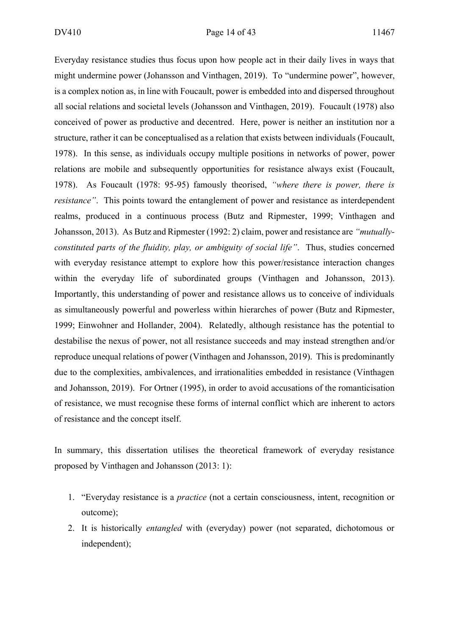Everyday resistance studies thus focus upon how people act in their daily lives in ways that might undermine power (Johansson and Vinthagen, 2019). To "undermine power", however, is a complex notion as, in line with Foucault, power is embedded into and dispersed throughout all social relations and societal levels (Johansson and Vinthagen, 2019). Foucault (1978) also conceived of power as productive and decentred. Here, power is neither an institution nor a structure, rather it can be conceptualised as a relation that exists between individuals (Foucault, 1978). In this sense, as individuals occupy multiple positions in networks of power, power relations are mobile and subsequently opportunities for resistance always exist (Foucault, 1978). As Foucault (1978: 95-95) famously theorised, *"where there is power, there is resistance"*. This points toward the entanglement of power and resistance as interdependent realms, produced in a continuous process (Butz and Ripmester, 1999; Vinthagen and Johansson, 2013). As Butz and Ripmester (1992: 2) claim, power and resistance are *"mutuallyconstituted parts of the fluidity, play, or ambiguity of social life"*. Thus, studies concerned with everyday resistance attempt to explore how this power/resistance interaction changes within the everyday life of subordinated groups (Vinthagen and Johansson, 2013). Importantly, this understanding of power and resistance allows us to conceive of individuals as simultaneously powerful and powerless within hierarches of power (Butz and Ripmester, 1999; Einwohner and Hollander, 2004). Relatedly, although resistance has the potential to destabilise the nexus of power, not all resistance succeeds and may instead strengthen and/or reproduce unequal relations of power (Vinthagen and Johansson, 2019). This is predominantly due to the complexities, ambivalences, and irrationalities embedded in resistance (Vinthagen and Johansson, 2019). For Ortner (1995), in order to avoid accusations of the romanticisation of resistance, we must recognise these forms of internal conflict which are inherent to actors of resistance and the concept itself.

In summary, this dissertation utilises the theoretical framework of everyday resistance proposed by Vinthagen and Johansson (2013: 1):

- 1. "Everyday resistance is a *practice* (not a certain consciousness, intent, recognition or outcome);
- 2. It is historically *entangled* with (everyday) power (not separated, dichotomous or independent);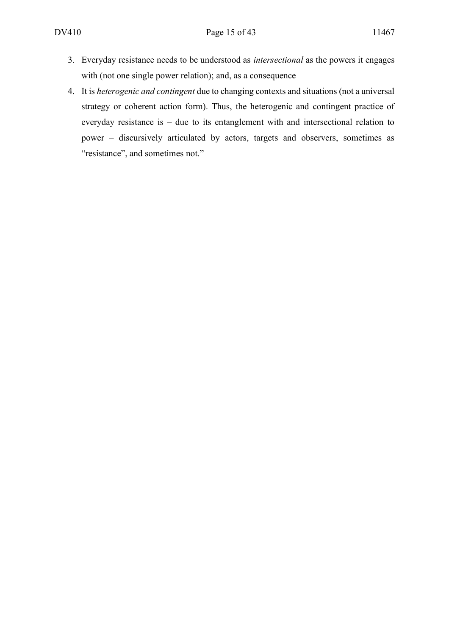- 3. Everyday resistance needs to be understood as *intersectional* as the powers it engages with (not one single power relation); and, as a consequence
- 4. It is *heterogenic and contingent* due to changing contexts and situations (not a universal strategy or coherent action form). Thus, the heterogenic and contingent practice of everyday resistance is – due to its entanglement with and intersectional relation to power – discursively articulated by actors, targets and observers, sometimes as "resistance", and sometimes not."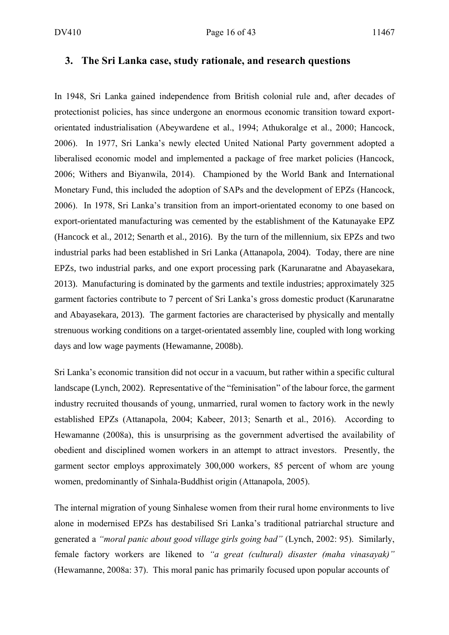#### **3. The Sri Lanka case, study rationale, and research questions**

In 1948, Sri Lanka gained independence from British colonial rule and, after decades of protectionist policies, has since undergone an enormous economic transition toward exportorientated industrialisation (Abeywardene et al., 1994; Athukoralge et al., 2000; Hancock, 2006). In 1977, Sri Lanka's newly elected United National Party government adopted a liberalised economic model and implemented a package of free market policies (Hancock, 2006; Withers and Biyanwila, 2014). Championed by the World Bank and International Monetary Fund, this included the adoption of SAPs and the development of EPZs (Hancock, 2006). In 1978, Sri Lanka's transition from an import-orientated economy to one based on export-orientated manufacturing was cemented by the establishment of the Katunayake EPZ (Hancock et al., 2012; Senarth et al., 2016). By the turn of the millennium, six EPZs and two industrial parks had been established in Sri Lanka (Attanapola, 2004). Today, there are nine EPZs, two industrial parks, and one export processing park (Karunaratne and Abayasekara, 2013). Manufacturing is dominated by the garments and textile industries; approximately 325 garment factories contribute to 7 percent of Sri Lanka's gross domestic product (Karunaratne and Abayasekara, 2013). The garment factories are characterised by physically and mentally strenuous working conditions on a target-orientated assembly line, coupled with long working days and low wage payments (Hewamanne, 2008b).

Sri Lanka's economic transition did not occur in a vacuum, but rather within a specific cultural landscape (Lynch, 2002). Representative of the "feminisation" of the labour force, the garment industry recruited thousands of young, unmarried, rural women to factory work in the newly established EPZs (Attanapola, 2004; Kabeer, 2013; Senarth et al., 2016). According to Hewamanne (2008a), this is unsurprising as the government advertised the availability of obedient and disciplined women workers in an attempt to attract investors. Presently, the garment sector employs approximately 300,000 workers, 85 percent of whom are young women, predominantly of Sinhala-Buddhist origin (Attanapola, 2005).

The internal migration of young Sinhalese women from their rural home environments to live alone in modernised EPZs has destabilised Sri Lanka's traditional patriarchal structure and generated a *"moral panic about good village girls going bad"* (Lynch, 2002: 95). Similarly, female factory workers are likened to *"a great (cultural) disaster (maha vinasayak)"* (Hewamanne, 2008a: 37). This moral panic has primarily focused upon popular accounts of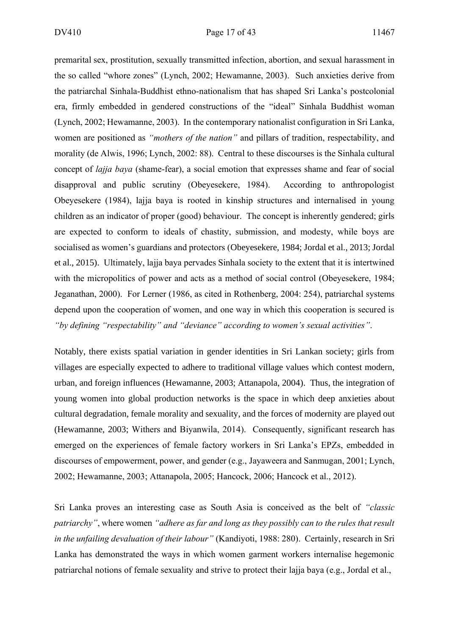premarital sex, prostitution, sexually transmitted infection, abortion, and sexual harassment in the so called "whore zones" (Lynch, 2002; Hewamanne, 2003). Such anxieties derive from the patriarchal Sinhala-Buddhist ethno-nationalism that has shaped Sri Lanka's postcolonial era, firmly embedded in gendered constructions of the "ideal" Sinhala Buddhist woman (Lynch, 2002; Hewamanne, 2003). In the contemporary nationalist configuration in Sri Lanka, women are positioned as *"mothers of the nation"* and pillars of tradition, respectability, and morality (de Alwis, 1996; Lynch, 2002: 88). Central to these discourses is the Sinhala cultural concept of *lajja baya* (shame-fear), a social emotion that expresses shame and fear of social disapproval and public scrutiny (Obeyesekere, 1984). According to anthropologist Obeyesekere (1984), lajja baya is rooted in kinship structures and internalised in young children as an indicator of proper (good) behaviour. The concept is inherently gendered; girls are expected to conform to ideals of chastity, submission, and modesty, while boys are socialised as women's guardians and protectors (Obeyesekere, 1984; Jordal et al., 2013; Jordal et al., 2015). Ultimately, lajja baya pervades Sinhala society to the extent that it is intertwined with the micropolitics of power and acts as a method of social control (Obeyesekere, 1984; Jeganathan, 2000). For Lerner (1986, as cited in Rothenberg, 2004: 254), patriarchal systems depend upon the cooperation of women, and one way in which this cooperation is secured is *"by defining "respectability" and "deviance" according to women's sexual activities"*.

Notably, there exists spatial variation in gender identities in Sri Lankan society; girls from villages are especially expected to adhere to traditional village values which contest modern, urban, and foreign influences (Hewamanne, 2003; Attanapola, 2004). Thus, the integration of young women into global production networks is the space in which deep anxieties about cultural degradation, female morality and sexuality, and the forces of modernity are played out (Hewamanne, 2003; Withers and Biyanwila, 2014). Consequently, significant research has emerged on the experiences of female factory workers in Sri Lanka's EPZs, embedded in discourses of empowerment, power, and gender (e.g., Jayaweera and Sanmugan, 2001; Lynch, 2002; Hewamanne, 2003; Attanapola, 2005; Hancock, 2006; Hancock et al., 2012).

Sri Lanka proves an interesting case as South Asia is conceived as the belt of *"classic patriarchy"*, where women *"adhere as far and long as they possibly can to the rules that result in the unfailing devaluation of their labour"* (Kandiyoti, 1988: 280). Certainly, research in Sri Lanka has demonstrated the ways in which women garment workers internalise hegemonic patriarchal notions of female sexuality and strive to protect their lajja baya (e.g., Jordal et al.,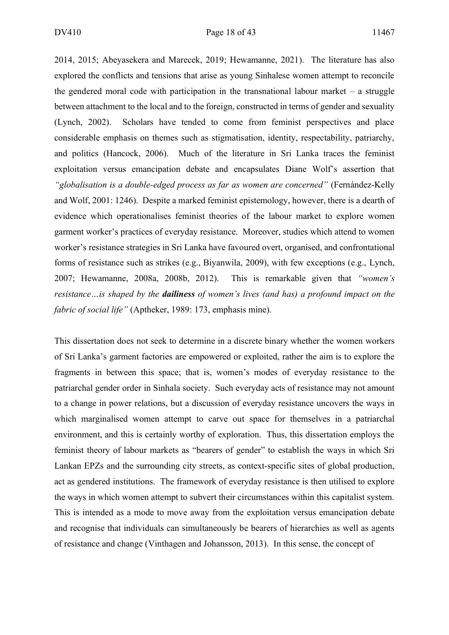2014, 2015; Abeyasekera and Marecek, 2019; Hewamanne, 2021). The literature has also explored the conflicts and tensions that arise as young Sinhalese women attempt to reconcile the gendered moral code with participation in the transnational labour market  $-$  a struggle between attachment to the local and to the foreign, constructed in terms of gender and sexuality (Lynch, 2002). Scholars have tended to come from feminist perspectives and place considerable emphasis on themes such as stigmatisation, identity, respectability, patriarchy, and politics (Hancock, 2006). Much of the literature in Sri Lanka traces the feminist exploitation versus emancipation debate and encapsulates Diane Wolf's assertion that *"globalisation is a double-edged process as far as women are concerned"* (Fernández-Kelly and Wolf, 2001: 1246). Despite a marked feminist epistemology, however, there is a dearth of evidence which operationalises feminist theories of the labour market to explore women garment worker's practices of everyday resistance. Moreover, studies which attend to women worker's resistance strategies in Sri Lanka have favoured overt, organised, and confrontational forms of resistance such as strikes (e.g., Biyanwila, 2009), with few exceptions (e.g., Lynch, 2007; Hewamanne, 2008a, 2008b, 2012). This is remarkable given that *"women's resistance…is shaped by the dailiness of women's lives (and has) a profound impact on the fabric of social life"* (Aptheker, 1989: 173, emphasis mine).

This dissertation does not seek to determine in a discrete binary whether the women workers of Sri Lanka's garment factories are empowered or exploited, rather the aim is to explore the fragments in between this space; that is, women's modes of everyday resistance to the patriarchal gender order in Sinhala society. Such everyday acts of resistance may not amount to a change in power relations, but a discussion of everyday resistance uncovers the ways in which marginalised women attempt to carve out space for themselves in a patriarchal environment, and this is certainly worthy of exploration. Thus, this dissertation employs the feminist theory of labour markets as "bearers of gender" to establish the ways in which Sri Lankan EPZs and the surrounding city streets, as context-specific sites of global production, act as gendered institutions. The framework of everyday resistance is then utilised to explore the ways in which women attempt to subvert their circumstances within this capitalist system. This is intended as a mode to move away from the exploitation versus emancipation debate and recognise that individuals can simultaneously be bearers of hierarchies as well as agents of resistance and change (Vinthagen and Johansson, 2013). In this sense, the concept of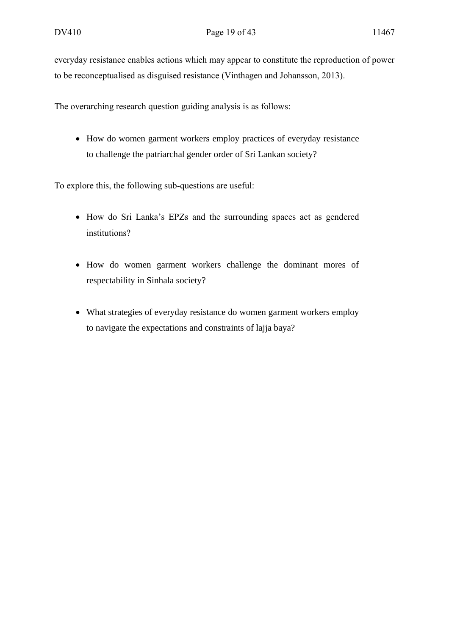everyday resistance enables actions which may appear to constitute the reproduction of power to be reconceptualised as disguised resistance (Vinthagen and Johansson, 2013).

The overarching research question guiding analysis is as follows:

• How do women garment workers employ practices of everyday resistance to challenge the patriarchal gender order of Sri Lankan society?

To explore this, the following sub-questions are useful:

- How do Sri Lanka's EPZs and the surrounding spaces act as gendered institutions?
- How do women garment workers challenge the dominant mores of respectability in Sinhala society?
- What strategies of everyday resistance do women garment workers employ to navigate the expectations and constraints of lajja baya?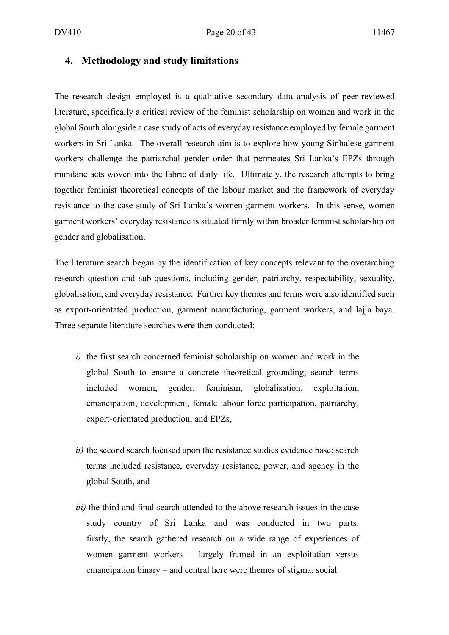#### **4. Methodology and study limitations**

The research design employed is a qualitative secondary data analysis of peer-reviewed literature, specifically a critical review of the feminist scholarship on women and work in the global South alongside a case study of acts of everyday resistance employed by female garment workers in Sri Lanka. The overall research aim is to explore how young Sinhalese garment workers challenge the patriarchal gender order that permeates Sri Lanka's EPZs through mundane acts woven into the fabric of daily life. Ultimately, the research attempts to bring together feminist theoretical concepts of the labour market and the framework of everyday resistance to the case study of Sri Lanka's women garment workers. In this sense, women garment workers' everyday resistance is situated firmly within broader feminist scholarship on gender and globalisation.

The literature search began by the identification of key concepts relevant to the overarching research question and sub-questions, including gender, patriarchy, respectability, sexuality, globalisation, and everyday resistance. Further key themes and terms were also identified such as export-orientated production, garment manufacturing, garment workers, and lajja baya. Three separate literature searches were then conducted:

- *i)* the first search concerned feminist scholarship on women and work in the global South to ensure a concrete theoretical grounding; search terms included women, gender, feminism, globalisation, exploitation, emancipation, development, female labour force participation, patriarchy, export-orientated production, and EPZs,
- *ii)* the second search focused upon the resistance studies evidence base; search terms included resistance, everyday resistance, power, and agency in the global South, and
- *iii)* the third and final search attended to the above research issues in the case study country of Sri Lanka and was conducted in two parts: firstly, the search gathered research on a wide range of experiences of women garment workers – largely framed in an exploitation versus emancipation binary – and central here were themes of stigma, social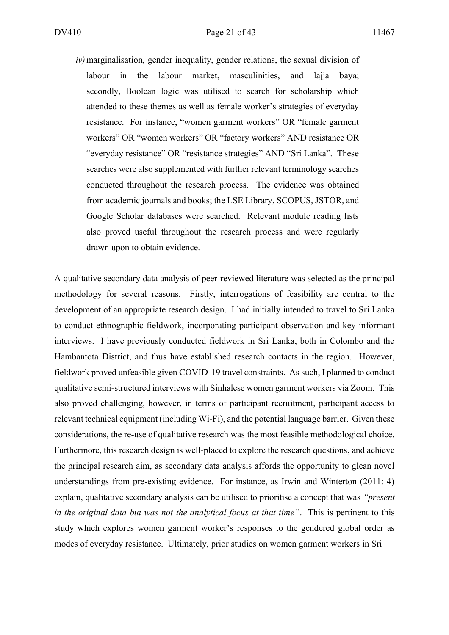*iv)*marginalisation, gender inequality, gender relations, the sexual division of labour in the labour market, masculinities, and lajja baya; secondly, Boolean logic was utilised to search for scholarship which attended to these themes as well as female worker's strategies of everyday resistance. For instance, "women garment workers" OR "female garment workers" OR "women workers" OR "factory workers" AND resistance OR "everyday resistance" OR "resistance strategies" AND "Sri Lanka". These searches were also supplemented with further relevant terminology searches conducted throughout the research process. The evidence was obtained from academic journals and books; the LSE Library, SCOPUS, JSTOR, and Google Scholar databases were searched. Relevant module reading lists also proved useful throughout the research process and were regularly drawn upon to obtain evidence.

A qualitative secondary data analysis of peer-reviewed literature was selected as the principal methodology for several reasons. Firstly, interrogations of feasibility are central to the development of an appropriate research design. I had initially intended to travel to Sri Lanka to conduct ethnographic fieldwork, incorporating participant observation and key informant interviews. I have previously conducted fieldwork in Sri Lanka, both in Colombo and the Hambantota District, and thus have established research contacts in the region. However, fieldwork proved unfeasible given COVID-19 travel constraints. As such, I planned to conduct qualitative semi-structured interviews with Sinhalese women garment workers via Zoom. This also proved challenging, however, in terms of participant recruitment, participant access to relevant technical equipment (including Wi-Fi), and the potential language barrier. Given these considerations, the re-use of qualitative research was the most feasible methodological choice. Furthermore, this research design is well-placed to explore the research questions, and achieve the principal research aim, as secondary data analysis affords the opportunity to glean novel understandings from pre-existing evidence. For instance, as Irwin and Winterton (2011: 4) explain, qualitative secondary analysis can be utilised to prioritise a concept that was *"present in the original data but was not the analytical focus at that time"*. This is pertinent to this study which explores women garment worker's responses to the gendered global order as modes of everyday resistance. Ultimately, prior studies on women garment workers in Sri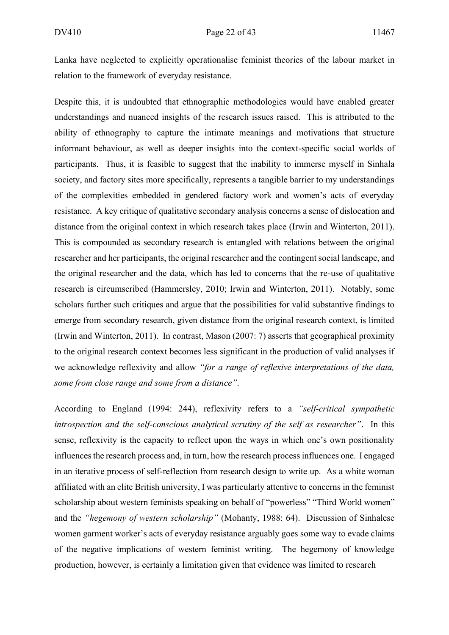Lanka have neglected to explicitly operationalise feminist theories of the labour market in relation to the framework of everyday resistance.

Despite this, it is undoubted that ethnographic methodologies would have enabled greater understandings and nuanced insights of the research issues raised. This is attributed to the ability of ethnography to capture the intimate meanings and motivations that structure informant behaviour, as well as deeper insights into the context-specific social worlds of participants. Thus, it is feasible to suggest that the inability to immerse myself in Sinhala society, and factory sites more specifically, represents a tangible barrier to my understandings of the complexities embedded in gendered factory work and women's acts of everyday resistance. A key critique of qualitative secondary analysis concerns a sense of dislocation and distance from the original context in which research takes place (Irwin and Winterton, 2011). This is compounded as secondary research is entangled with relations between the original researcher and her participants, the original researcher and the contingent social landscape, and the original researcher and the data, which has led to concerns that the re-use of qualitative research is circumscribed (Hammersley, 2010; Irwin and Winterton, 2011). Notably, some scholars further such critiques and argue that the possibilities for valid substantive findings to emerge from secondary research, given distance from the original research context, is limited (Irwin and Winterton, 2011). In contrast, Mason (2007: 7) asserts that geographical proximity to the original research context becomes less significant in the production of valid analyses if we acknowledge reflexivity and allow *"for a range of reflexive interpretations of the data, some from close range and some from a distance"*.

According to England (1994: 244), reflexivity refers to a *"self-critical sympathetic introspection and the self-conscious analytical scrutiny of the self as researcher"*. In this sense, reflexivity is the capacity to reflect upon the ways in which one's own positionality influences the research process and, in turn, how the research process influences one. I engaged in an iterative process of self-reflection from research design to write up. As a white woman affiliated with an elite British university, I was particularly attentive to concerns in the feminist scholarship about western feminists speaking on behalf of "powerless" "Third World women" and the *"hegemony of western scholarship"* (Mohanty, 1988: 64). Discussion of Sinhalese women garment worker's acts of everyday resistance arguably goes some way to evade claims of the negative implications of western feminist writing. The hegemony of knowledge production, however, is certainly a limitation given that evidence was limited to research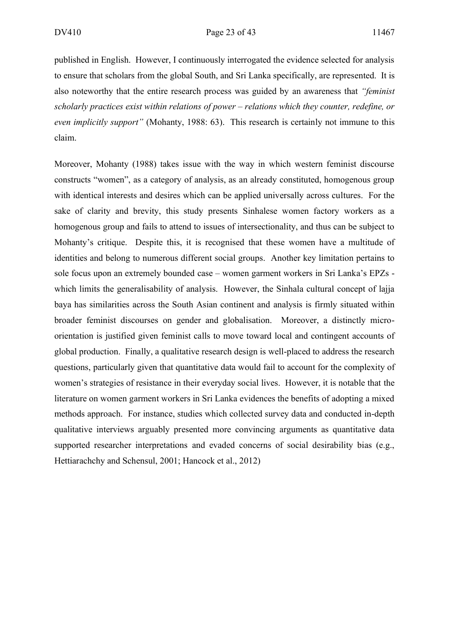published in English. However, I continuously interrogated the evidence selected for analysis to ensure that scholars from the global South, and Sri Lanka specifically, are represented. It is also noteworthy that the entire research process was guided by an awareness that *"feminist scholarly practices exist within relations of power – relations which they counter, redefine, or even implicitly support"* (Mohanty, 1988: 63). This research is certainly not immune to this claim.

Moreover, Mohanty (1988) takes issue with the way in which western feminist discourse constructs "women", as a category of analysis, as an already constituted, homogenous group with identical interests and desires which can be applied universally across cultures. For the sake of clarity and brevity, this study presents Sinhalese women factory workers as a homogenous group and fails to attend to issues of intersectionality, and thus can be subject to Mohanty's critique. Despite this, it is recognised that these women have a multitude of identities and belong to numerous different social groups. Another key limitation pertains to sole focus upon an extremely bounded case – women garment workers in Sri Lanka's EPZs which limits the generalisability of analysis. However, the Sinhala cultural concept of lajja baya has similarities across the South Asian continent and analysis is firmly situated within broader feminist discourses on gender and globalisation. Moreover, a distinctly microorientation is justified given feminist calls to move toward local and contingent accounts of global production. Finally, a qualitative research design is well-placed to address the research questions, particularly given that quantitative data would fail to account for the complexity of women's strategies of resistance in their everyday social lives. However, it is notable that the literature on women garment workers in Sri Lanka evidences the benefits of adopting a mixed methods approach. For instance, studies which collected survey data and conducted in-depth qualitative interviews arguably presented more convincing arguments as quantitative data supported researcher interpretations and evaded concerns of social desirability bias (e.g., Hettiarachchy and Schensul, 2001; Hancock et al., 2012)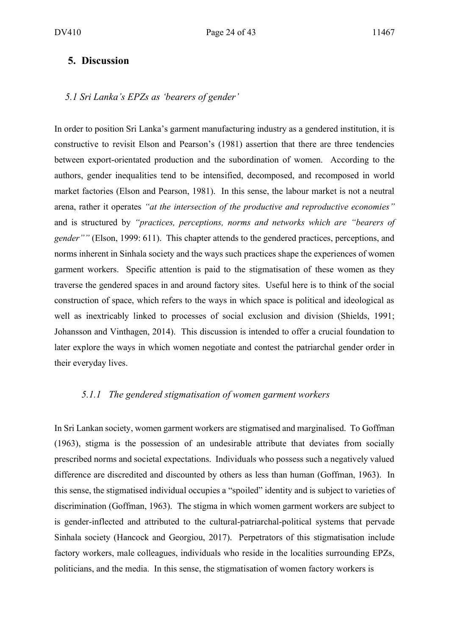#### **5. Discussion**

#### *5.1 Sri Lanka's EPZs as 'bearers of gender'*

In order to position Sri Lanka's garment manufacturing industry as a gendered institution, it is constructive to revisit Elson and Pearson's (1981) assertion that there are three tendencies between export-orientated production and the subordination of women. According to the authors, gender inequalities tend to be intensified, decomposed, and recomposed in world market factories (Elson and Pearson, 1981). In this sense, the labour market is not a neutral arena, rather it operates *"at the intersection of the productive and reproductive economies"*  and is structured by *"practices, perceptions, norms and networks which are "bearers of gender""* (Elson, 1999: 611). This chapter attends to the gendered practices, perceptions, and norms inherent in Sinhala society and the ways such practices shape the experiences of women garment workers. Specific attention is paid to the stigmatisation of these women as they traverse the gendered spaces in and around factory sites. Useful here is to think of the social construction of space, which refers to the ways in which space is political and ideological as well as inextricably linked to processes of social exclusion and division (Shields, 1991; Johansson and Vinthagen, 2014). This discussion is intended to offer a crucial foundation to later explore the ways in which women negotiate and contest the patriarchal gender order in their everyday lives.

#### *5.1.1 The gendered stigmatisation of women garment workers*

In Sri Lankan society, women garment workers are stigmatised and marginalised. To Goffman (1963), stigma is the possession of an undesirable attribute that deviates from socially prescribed norms and societal expectations. Individuals who possess such a negatively valued difference are discredited and discounted by others as less than human (Goffman, 1963). In this sense, the stigmatised individual occupies a "spoiled" identity and is subject to varieties of discrimination (Goffman, 1963). The stigma in which women garment workers are subject to is gender-inflected and attributed to the cultural-patriarchal-political systems that pervade Sinhala society (Hancock and Georgiou, 2017). Perpetrators of this stigmatisation include factory workers, male colleagues, individuals who reside in the localities surrounding EPZs, politicians, and the media. In this sense, the stigmatisation of women factory workers is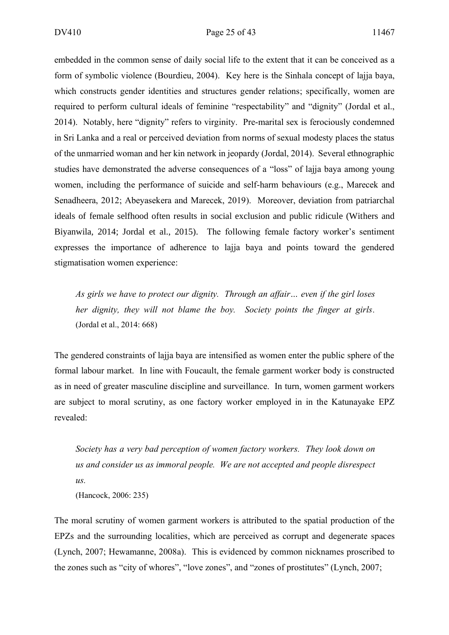embedded in the common sense of daily social life to the extent that it can be conceived as a form of symbolic violence (Bourdieu, 2004). Key here is the Sinhala concept of lajja baya, which constructs gender identities and structures gender relations; specifically, women are required to perform cultural ideals of feminine "respectability" and "dignity" (Jordal et al., 2014). Notably, here "dignity" refers to virginity. Pre-marital sex is ferociously condemned in Sri Lanka and a real or perceived deviation from norms of sexual modesty places the status of the unmarried woman and her kin network in jeopardy (Jordal, 2014). Several ethnographic studies have demonstrated the adverse consequences of a "loss" of lajja baya among young women, including the performance of suicide and self-harm behaviours (e.g., Marecek and Senadheera, 2012; Abeyasekera and Marecek, 2019). Moreover, deviation from patriarchal ideals of female selfhood often results in social exclusion and public ridicule (Withers and Biyanwila, 2014; Jordal et al., 2015). The following female factory worker's sentiment expresses the importance of adherence to lajja baya and points toward the gendered stigmatisation women experience:

*As girls we have to protect our dignity. Through an affair… even if the girl loses her dignity, they will not blame the boy. Society points the finger at girls.*  (Jordal et al., 2014: 668)

The gendered constraints of lajja baya are intensified as women enter the public sphere of the formal labour market. In line with Foucault, the female garment worker body is constructed as in need of greater masculine discipline and surveillance. In turn, women garment workers are subject to moral scrutiny, as one factory worker employed in in the Katunayake EPZ revealed:

*Society has a very bad perception of women factory workers. They look down on us and consider us as immoral people. We are not accepted and people disrespect us.*  (Hancock, 2006: 235)

The moral scrutiny of women garment workers is attributed to the spatial production of the EPZs and the surrounding localities, which are perceived as corrupt and degenerate spaces (Lynch, 2007; Hewamanne, 2008a). This is evidenced by common nicknames proscribed to the zones such as "city of whores", "love zones", and "zones of prostitutes" (Lynch, 2007;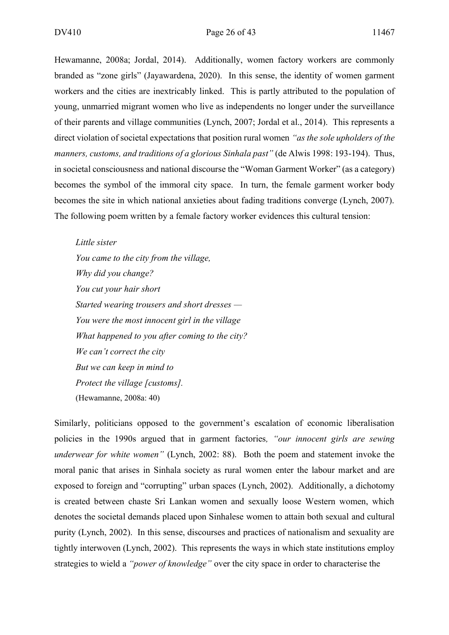Hewamanne, 2008a; Jordal, 2014). Additionally, women factory workers are commonly branded as "zone girls" (Jayawardena, 2020). In this sense, the identity of women garment workers and the cities are inextricably linked. This is partly attributed to the population of young, unmarried migrant women who live as independents no longer under the surveillance of their parents and village communities (Lynch, 2007; Jordal et al., 2014). This represents a direct violation of societal expectations that position rural women *"as the sole upholders of the manners, customs, and traditions of a glorious Sinhala past"* (de Alwis 1998: 193-194). Thus, in societal consciousness and national discourse the "Woman Garment Worker" (as a category) becomes the symbol of the immoral city space. In turn, the female garment worker body becomes the site in which national anxieties about fading traditions converge (Lynch, 2007). The following poem written by a female factory worker evidences this cultural tension:

*Little sister You came to the city from the village, Why did you change? You cut your hair short Started wearing trousers and short dresses — You were the most innocent girl in the village What happened to you after coming to the city? We can't correct the city But we can keep in mind to Protect the village [customs].* (Hewamanne, 2008a: 40)

Similarly, politicians opposed to the government's escalation of economic liberalisation policies in the 1990s argued that in garment factories*, "our innocent girls are sewing underwear for white women"* (Lynch, 2002: 88). Both the poem and statement invoke the moral panic that arises in Sinhala society as rural women enter the labour market and are exposed to foreign and "corrupting" urban spaces (Lynch, 2002). Additionally, a dichotomy is created between chaste Sri Lankan women and sexually loose Western women, which denotes the societal demands placed upon Sinhalese women to attain both sexual and cultural purity (Lynch, 2002). In this sense, discourses and practices of nationalism and sexuality are tightly interwoven (Lynch, 2002). This represents the ways in which state institutions employ strategies to wield a *"power of knowledge"* over the city space in order to characterise the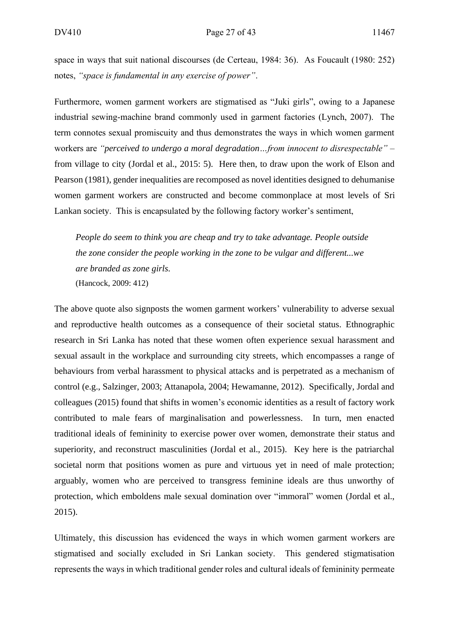space in ways that suit national discourses (de Certeau, 1984: 36). As Foucault (1980: 252) notes, *"space is fundamental in any exercise of power"*.

Furthermore, women garment workers are stigmatised as "Juki girls", owing to a Japanese industrial sewing-machine brand commonly used in garment factories (Lynch, 2007). The term connotes sexual promiscuity and thus demonstrates the ways in which women garment workers are *"perceived to undergo a moral degradation…from innocent to disrespectable"* – from village to city (Jordal et al., 2015: 5). Here then, to draw upon the work of Elson and Pearson (1981), gender inequalities are recomposed as novel identities designed to dehumanise women garment workers are constructed and become commonplace at most levels of Sri Lankan society. This is encapsulated by the following factory worker's sentiment,

*People do seem to think you are cheap and try to take advantage. People outside the zone consider the people working in the zone to be vulgar and different...we are branded as zone girls.* (Hancock, 2009: 412)

The above quote also signposts the women garment workers' vulnerability to adverse sexual and reproductive health outcomes as a consequence of their societal status. Ethnographic research in Sri Lanka has noted that these women often experience sexual harassment and sexual assault in the workplace and surrounding city streets, which encompasses a range of behaviours from verbal harassment to physical attacks and is perpetrated as a mechanism of control (e.g., Salzinger, 2003; Attanapola, 2004; Hewamanne, 2012). Specifically, Jordal and colleagues (2015) found that shifts in women's economic identities as a result of factory work contributed to male fears of marginalisation and powerlessness. In turn, men enacted traditional ideals of femininity to exercise power over women, demonstrate their status and superiority, and reconstruct masculinities (Jordal et al., 2015). Key here is the patriarchal societal norm that positions women as pure and virtuous yet in need of male protection; arguably, women who are perceived to transgress feminine ideals are thus unworthy of protection, which emboldens male sexual domination over "immoral" women (Jordal et al., 2015).

Ultimately, this discussion has evidenced the ways in which women garment workers are stigmatised and socially excluded in Sri Lankan society. This gendered stigmatisation represents the ways in which traditional gender roles and cultural ideals of femininity permeate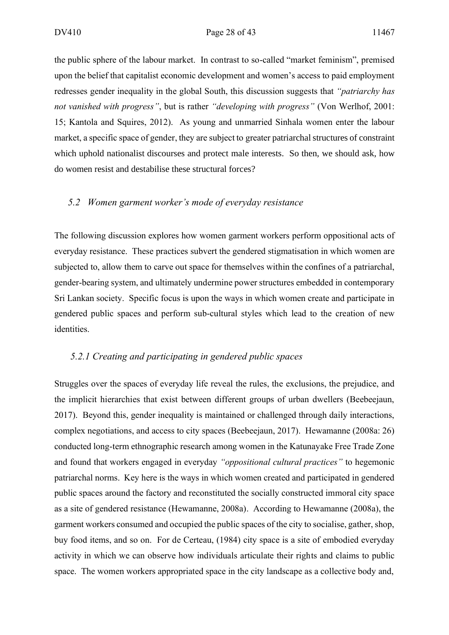the public sphere of the labour market. In contrast to so-called "market feminism", premised upon the belief that capitalist economic development and women's access to paid employment redresses gender inequality in the global South, this discussion suggests that *"patriarchy has not vanished with progress"*, but is rather *"developing with progress"* (Von Werlhof, 2001: 15; Kantola and Squires, 2012). As young and unmarried Sinhala women enter the labour market, a specific space of gender, they are subject to greater patriarchal structures of constraint which uphold nationalist discourses and protect male interests. So then, we should ask, how do women resist and destabilise these structural forces?

#### *5.2 Women garment worker's mode of everyday resistance*

The following discussion explores how women garment workers perform oppositional acts of everyday resistance. These practices subvert the gendered stigmatisation in which women are subjected to, allow them to carve out space for themselves within the confines of a patriarchal, gender-bearing system, and ultimately undermine power structures embedded in contemporary Sri Lankan society. Specific focus is upon the ways in which women create and participate in gendered public spaces and perform sub-cultural styles which lead to the creation of new identities.

#### *5.2.1 Creating and participating in gendered public spaces*

Struggles over the spaces of everyday life reveal the rules, the exclusions, the prejudice, and the implicit hierarchies that exist between different groups of urban dwellers (Beebeejaun, 2017). Beyond this, gender inequality is maintained or challenged through daily interactions, complex negotiations, and access to city spaces (Beebeejaun, 2017). Hewamanne (2008a: 26) conducted long-term ethnographic research among women in the Katunayake Free Trade Zone and found that workers engaged in everyday *"oppositional cultural practices"* to hegemonic patriarchal norms. Key here is the ways in which women created and participated in gendered public spaces around the factory and reconstituted the socially constructed immoral city space as a site of gendered resistance (Hewamanne, 2008a). According to Hewamanne (2008a), the garment workers consumed and occupied the public spaces of the city to socialise, gather, shop, buy food items, and so on. For de Certeau, (1984) city space is a site of embodied everyday activity in which we can observe how individuals articulate their rights and claims to public space. The women workers appropriated space in the city landscape as a collective body and,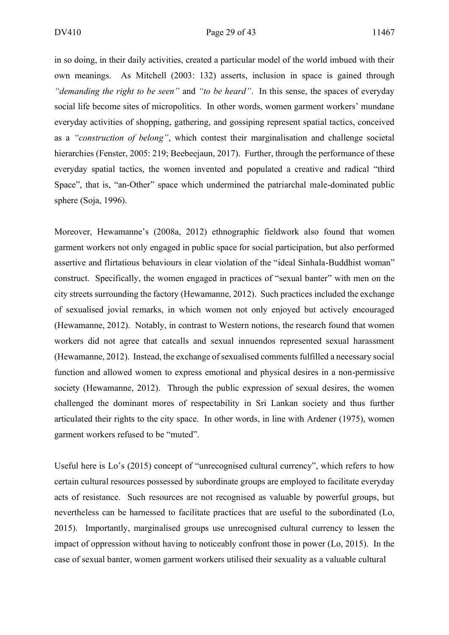in so doing, in their daily activities, created a particular model of the world imbued with their own meanings. As Mitchell (2003: 132) asserts, inclusion in space is gained through *"demanding the right to be seen"* and *"to be heard"*. In this sense, the spaces of everyday social life become sites of micropolitics. In other words, women garment workers' mundane everyday activities of shopping, gathering, and gossiping represent spatial tactics, conceived as a *"construction of belong"*, which contest their marginalisation and challenge societal hierarchies (Fenster, 2005: 219; Beebeejaun, 2017). Further, through the performance of these everyday spatial tactics, the women invented and populated a creative and radical "third Space", that is, "an-Other" space which undermined the patriarchal male-dominated public sphere (Soja, 1996).

Moreover, Hewamanne's (2008a, 2012) ethnographic fieldwork also found that women garment workers not only engaged in public space for social participation, but also performed assertive and flirtatious behaviours in clear violation of the "ideal Sinhala-Buddhist woman" construct. Specifically, the women engaged in practices of "sexual banter" with men on the city streets surrounding the factory (Hewamanne, 2012). Such practices included the exchange of sexualised jovial remarks, in which women not only enjoyed but actively encouraged (Hewamanne, 2012). Notably, in contrast to Western notions, the research found that women workers did not agree that catcalls and sexual innuendos represented sexual harassment (Hewamanne, 2012). Instead, the exchange of sexualised comments fulfilled a necessary social function and allowed women to express emotional and physical desires in a non-permissive society (Hewamanne, 2012). Through the public expression of sexual desires, the women challenged the dominant mores of respectability in Sri Lankan society and thus further articulated their rights to the city space. In other words, in line with Ardener (1975), women garment workers refused to be "muted".

Useful here is Lo's (2015) concept of "unrecognised cultural currency", which refers to how certain cultural resources possessed by subordinate groups are employed to facilitate everyday acts of resistance. Such resources are not recognised as valuable by powerful groups, but nevertheless can be harnessed to facilitate practices that are useful to the subordinated (Lo, 2015). Importantly, marginalised groups use unrecognised cultural currency to lessen the impact of oppression without having to noticeably confront those in power (Lo, 2015). In the case of sexual banter, women garment workers utilised their sexuality as a valuable cultural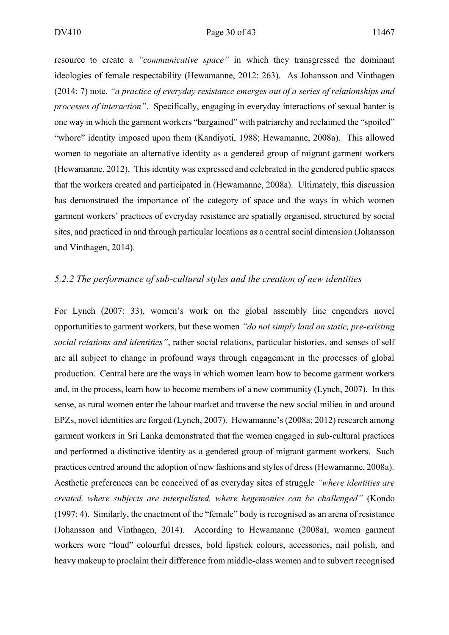resource to create a *"communicative space"* in which they transgressed the dominant ideologies of female respectability (Hewamanne, 2012: 263). As Johansson and Vinthagen (2014: 7) note, *"a practice of everyday resistance emerges out of a series of relationships and processes of interaction"*. Specifically, engaging in everyday interactions of sexual banter is one way in which the garment workers "bargained" with patriarchy and reclaimed the "spoiled" "whore" identity imposed upon them (Kandiyoti, 1988; Hewamanne, 2008a). This allowed women to negotiate an alternative identity as a gendered group of migrant garment workers (Hewamanne, 2012). This identity was expressed and celebrated in the gendered public spaces that the workers created and participated in (Hewamanne, 2008a). Ultimately, this discussion has demonstrated the importance of the category of space and the ways in which women garment workers' practices of everyday resistance are spatially organised, structured by social sites, and practiced in and through particular locations as a central social dimension (Johansson and Vinthagen, 2014).

#### *5.2.2 The performance of sub-cultural styles and the creation of new identities*

For Lynch (2007: 33), women's work on the global assembly line engenders novel opportunities to garment workers, but these women *"do not simply land on static, pre-existing social relations and identities"*, rather social relations, particular histories, and senses of self are all subject to change in profound ways through engagement in the processes of global production. Central here are the ways in which women learn how to become garment workers and, in the process, learn how to become members of a new community (Lynch, 2007). In this sense, as rural women enter the labour market and traverse the new social milieu in and around EPZs, novel identities are forged (Lynch, 2007). Hewamanne's (2008a; 2012) research among garment workers in Sri Lanka demonstrated that the women engaged in sub-cultural practices and performed a distinctive identity as a gendered group of migrant garment workers. Such practices centred around the adoption of new fashions and styles of dress (Hewamanne, 2008a). Aesthetic preferences can be conceived of as everyday sites of struggle *"where identities are created, where subjects are interpellated, where hegemonies can be challenged"* (Kondo (1997: 4). Similarly, the enactment of the "female" body is recognised as an arena of resistance (Johansson and Vinthagen, 2014). According to Hewamanne (2008a), women garment workers wore "loud" colourful dresses, bold lipstick colours, accessories, nail polish, and heavy makeup to proclaim their difference from middle-class women and to subvert recognised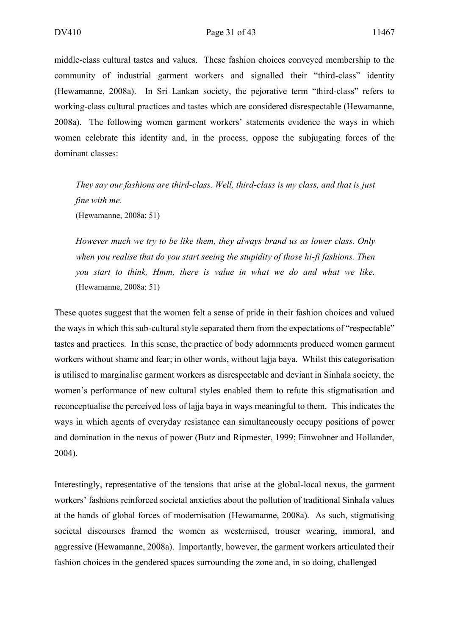middle-class cultural tastes and values. These fashion choices conveyed membership to the community of industrial garment workers and signalled their "third-class" identity (Hewamanne, 2008a). In Sri Lankan society, the pejorative term "third-class" refers to working-class cultural practices and tastes which are considered disrespectable (Hewamanne, 2008a). The following women garment workers' statements evidence the ways in which women celebrate this identity and, in the process, oppose the subjugating forces of the dominant classes:

*They say our fashions are third-class. Well, third-class is my class, and that is just fine with me.*

(Hewamanne, 2008a: 51)

*However much we try to be like them, they always brand us as lower class. Only when you realise that do you start seeing the stupidity of those hi-fi fashions. Then you start to think, Hmm, there is value in what we do and what we like.* (Hewamanne, 2008a: 51)

These quotes suggest that the women felt a sense of pride in their fashion choices and valued the ways in which this sub-cultural style separated them from the expectations of "respectable" tastes and practices. In this sense, the practice of body adornments produced women garment workers without shame and fear; in other words, without lajja baya. Whilst this categorisation is utilised to marginalise garment workers as disrespectable and deviant in Sinhala society, the women's performance of new cultural styles enabled them to refute this stigmatisation and reconceptualise the perceived loss of lajja baya in ways meaningful to them. This indicates the ways in which agents of everyday resistance can simultaneously occupy positions of power and domination in the nexus of power (Butz and Ripmester, 1999; Einwohner and Hollander, 2004).

Interestingly, representative of the tensions that arise at the global-local nexus, the garment workers' fashions reinforced societal anxieties about the pollution of traditional Sinhala values at the hands of global forces of modernisation (Hewamanne, 2008a). As such, stigmatising societal discourses framed the women as westernised, trouser wearing, immoral, and aggressive (Hewamanne, 2008a). Importantly, however, the garment workers articulated their fashion choices in the gendered spaces surrounding the zone and, in so doing, challenged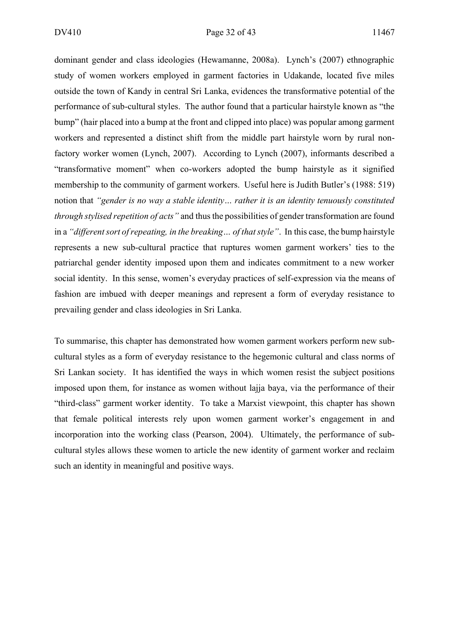dominant gender and class ideologies (Hewamanne, 2008a). Lynch's (2007) ethnographic study of women workers employed in garment factories in Udakande, located five miles outside the town of Kandy in central Sri Lanka, evidences the transformative potential of the performance of sub-cultural styles. The author found that a particular hairstyle known as "the bump" (hair placed into a bump at the front and clipped into place) was popular among garment workers and represented a distinct shift from the middle part hairstyle worn by rural nonfactory worker women (Lynch, 2007). According to Lynch (2007), informants described a "transformative moment" when co-workers adopted the bump hairstyle as it signified membership to the community of garment workers. Useful here is Judith Butler's (1988: 519) notion that *"gender is no way a stable identity… rather it is an identity tenuously constituted through stylised repetition of acts"* and thus the possibilities of gender transformation are found in a *"different sort of repeating, in the breaking… of that style"*. In this case, the bump hairstyle represents a new sub-cultural practice that ruptures women garment workers' ties to the patriarchal gender identity imposed upon them and indicates commitment to a new worker social identity. In this sense, women's everyday practices of self-expression via the means of fashion are imbued with deeper meanings and represent a form of everyday resistance to prevailing gender and class ideologies in Sri Lanka.

To summarise, this chapter has demonstrated how women garment workers perform new subcultural styles as a form of everyday resistance to the hegemonic cultural and class norms of Sri Lankan society. It has identified the ways in which women resist the subject positions imposed upon them, for instance as women without lajja baya, via the performance of their "third-class" garment worker identity. To take a Marxist viewpoint, this chapter has shown that female political interests rely upon women garment worker's engagement in and incorporation into the working class (Pearson, 2004). Ultimately, the performance of subcultural styles allows these women to article the new identity of garment worker and reclaim such an identity in meaningful and positive ways.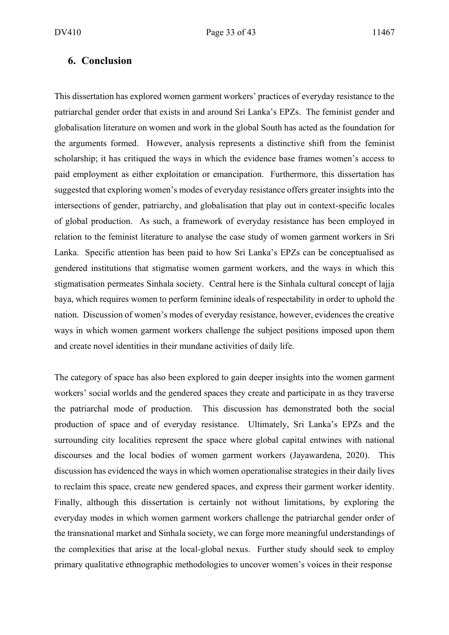#### **6. Conclusion**

This dissertation has explored women garment workers' practices of everyday resistance to the patriarchal gender order that exists in and around Sri Lanka's EPZs. The feminist gender and globalisation literature on women and work in the global South has acted as the foundation for the arguments formed. However, analysis represents a distinctive shift from the feminist scholarship; it has critiqued the ways in which the evidence base frames women's access to paid employment as either exploitation or emancipation. Furthermore, this dissertation has suggested that exploring women's modes of everyday resistance offers greater insights into the intersections of gender, patriarchy, and globalisation that play out in context-specific locales of global production. As such, a framework of everyday resistance has been employed in relation to the feminist literature to analyse the case study of women garment workers in Sri Lanka. Specific attention has been paid to how Sri Lanka's EPZs can be conceptualised as gendered institutions that stigmatise women garment workers, and the ways in which this stigmatisation permeates Sinhala society. Central here is the Sinhala cultural concept of lajja baya, which requires women to perform feminine ideals of respectability in order to uphold the nation. Discussion of women's modes of everyday resistance, however, evidences the creative ways in which women garment workers challenge the subject positions imposed upon them and create novel identities in their mundane activities of daily life.

The category of space has also been explored to gain deeper insights into the women garment workers' social worlds and the gendered spaces they create and participate in as they traverse the patriarchal mode of production. This discussion has demonstrated both the social production of space and of everyday resistance. Ultimately, Sri Lanka's EPZs and the surrounding city localities represent the space where global capital entwines with national discourses and the local bodies of women garment workers (Jayawardena, 2020). This discussion has evidenced the ways in which women operationalise strategies in their daily lives to reclaim this space, create new gendered spaces, and express their garment worker identity. Finally, although this dissertation is certainly not without limitations, by exploring the everyday modes in which women garment workers challenge the patriarchal gender order of the transnational market and Sinhala society, we can forge more meaningful understandings of the complexities that arise at the local-global nexus. Further study should seek to employ primary qualitative ethnographic methodologies to uncover women's voices in their response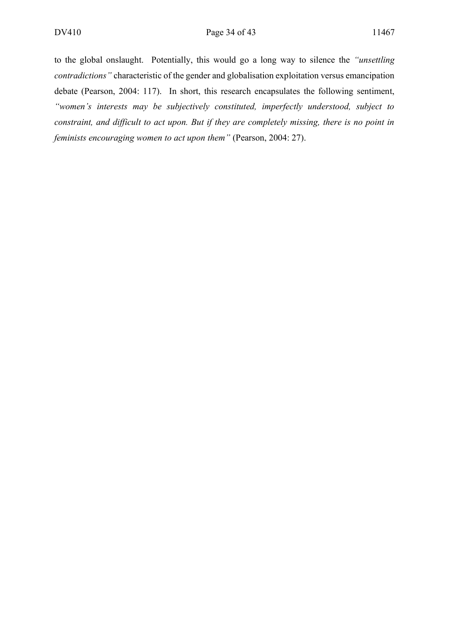to the global onslaught. Potentially, this would go a long way to silence the *"unsettling contradictions"* characteristic of the gender and globalisation exploitation versus emancipation debate (Pearson, 2004: 117). In short, this research encapsulates the following sentiment, *"women's interests may be subjectively constituted, imperfectly understood, subject to constraint, and difficult to act upon. But if they are completely missing, there is no point in feminists encouraging women to act upon them"* (Pearson, 2004: 27).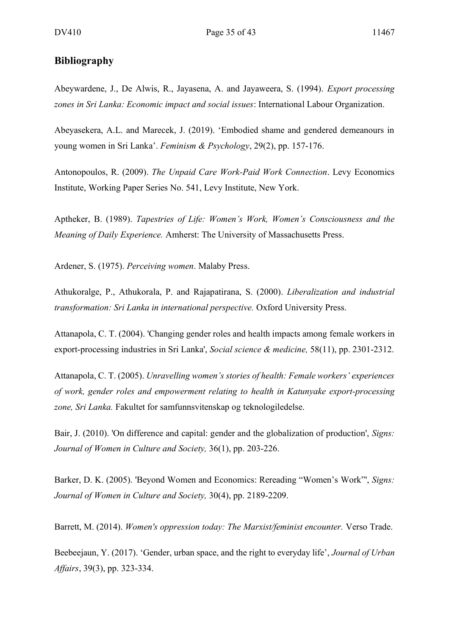#### **Bibliography**

Abeywardene, J., De Alwis, R., Jayasena, A. and Jayaweera, S. (1994). *Export processing zones in Sri Lanka: Economic impact and social issues*: International Labour Organization.

Abeyasekera, A.L. and Marecek, J. (2019). 'Embodied shame and gendered demeanours in young women in Sri Lanka'. *Feminism & Psychology*, 29(2), pp. 157-176.

Antonopoulos, R. (2009). *The Unpaid Care Work-Paid Work Connection*. Levy Economics Institute, Working Paper Series No. 541, Levy Institute, New York.

Aptheker, B. (1989). *Tapestries of Life: Women's Work, Women's Consciousness and the Meaning of Daily Experience.* Amherst: The University of Massachusetts Press.

Ardener, S. (1975). *Perceiving women*. Malaby Press.

Athukoralge, P., Athukorala, P. and Rajapatirana, S. (2000). *Liberalization and industrial transformation: Sri Lanka in international perspective.* Oxford University Press.

Attanapola, C. T. (2004). 'Changing gender roles and health impacts among female workers in export-processing industries in Sri Lanka', *Social science & medicine,* 58(11), pp. 2301-2312.

Attanapola, C. T. (2005). *Unravelling women's stories of health: Female workers' experiences of work, gender roles and empowerment relating to health in Katunyake export-processing zone, Sri Lanka.* Fakultet for samfunnsvitenskap og teknologiledelse.

Bair, J. (2010). 'On difference and capital: gender and the globalization of production', *Signs: Journal of Women in Culture and Society,* 36(1), pp. 203-226.

Barker, D. K. (2005). 'Beyond Women and Economics: Rereading "Women's Work"', *Signs: Journal of Women in Culture and Society,* 30(4), pp. 2189-2209.

Barrett, M. (2014). *Women's oppression today: The Marxist/feminist encounter.* Verso Trade.

Beebeejaun, Y. (2017). 'Gender, urban space, and the right to everyday life', *Journal of Urban Affairs*, 39(3), pp. 323-334.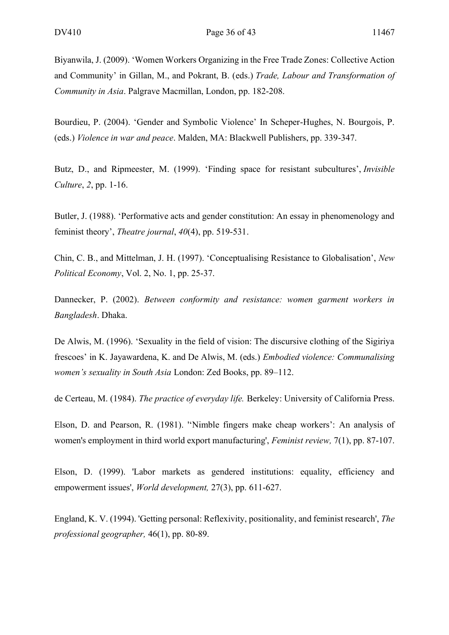Biyanwila, J. (2009). 'Women Workers Organizing in the Free Trade Zones: Collective Action and Community' in Gillan, M., and Pokrant, B. (eds.) *Trade, Labour and Transformation of Community in Asia*. Palgrave Macmillan, London, pp. 182-208.

Bourdieu, P. (2004). 'Gender and Symbolic Violence' In Scheper-Hughes, N. Bourgois, P. (eds.) *Violence in war and peace*. Malden, MA: Blackwell Publishers, pp. 339-347.

Butz, D., and Ripmeester, M. (1999). 'Finding space for resistant subcultures', *Invisible Culture*, *2*, pp. 1-16.

Butler, J. (1988). 'Performative acts and gender constitution: An essay in phenomenology and feminist theory', *Theatre journal*, *40*(4), pp. 519-531.

Chin, C. B., and Mittelman, J. H. (1997). 'Conceptualising Resistance to Globalisation', *New Political Economy*, Vol. 2, No. 1, pp. 25-37.

Dannecker, P. (2002). *Between conformity and resistance: women garment workers in Bangladesh*. Dhaka.

De Alwis, M. (1996). 'Sexuality in the field of vision: The discursive clothing of the Sigiriya frescoes' in K. Jayawardena, K. and De Alwis, M. (eds.) *Embodied violence: Communalising women's sexuality in South Asia* London: Zed Books, pp. 89–112.

de Certeau, M. (1984). *The practice of everyday life.* Berkeley: University of California Press.

Elson, D. and Pearson, R. (1981). ''Nimble fingers make cheap workers': An analysis of women's employment in third world export manufacturing', *Feminist review,* 7(1), pp. 87-107.

Elson, D. (1999). 'Labor markets as gendered institutions: equality, efficiency and empowerment issues', *World development,* 27(3), pp. 611-627.

England, K. V. (1994). 'Getting personal: Reflexivity, positionality, and feminist research', *The professional geographer,* 46(1), pp. 80-89.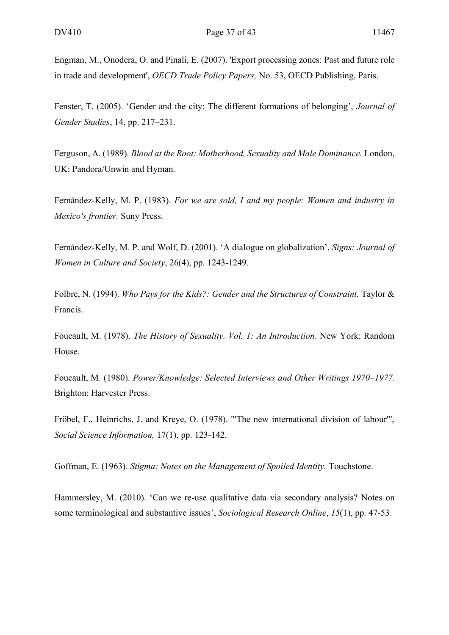Engman, M., Onodera, O. and Pinali, E. (2007). 'Export processing zones: Past and future role in trade and development', *OECD Trade Policy Papers,* No. 53, OECD Publishing, Paris.

Fenster, T. (2005). 'Gender and the city: The different formations of belonging', *Journal of Gender Studies*, 14, pp. 217–231.

Ferguson, A. (1989). *Blood at the Root: Motherhood, Sexuality and Male Dominance.* London, UK: Pandora/Unwin and Hyman.

Fernández-Kelly, M. P. (1983). *For we are sold, I and my people: Women and industry in Mexico's frontier.* Suny Press.

Fernández-Kelly, M. P. and Wolf, D. (2001). 'A dialogue on globalization', *Signs: Journal of Women in Culture and Society*, 26(4), pp. 1243-1249.

Folbre, N. (1994). *Who Pays for the Kids?: Gender and the Structures of Constraint.* Taylor & Francis.

Foucault, M. (1978). *The History of Sexuality. Vol. 1: An Introduction*. New York: Random House.

Foucault, M. (1980). *Power/Knowledge: Selected Interviews and Other Writings 1970–1977*. Brighton: Harvester Press.

Fröbel, F., Heinrichs, J. and Kreye, O. (1978). '"The new international division of labour"', *Social Science Information,* 17(1), pp. 123-142.

Goffman, E. (1963). *Stigma: Notes on the Management of Spoiled Identity.* Touchstone.

Hammersley, M. (2010). 'Can we re-use qualitative data via secondary analysis? Notes on some terminological and substantive issues', *Sociological Research Online*, *15*(1), pp. 47-53.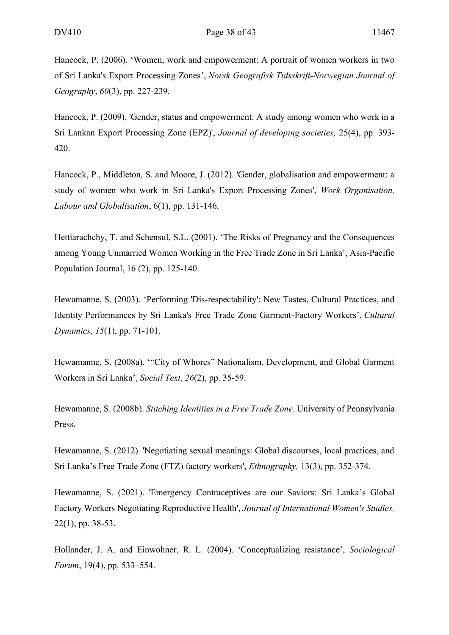Hancock, P. (2006). 'Women, work and empowerment: A portrait of women workers in two of Sri Lanka's Export Processing Zones', *Norsk Geografisk Tidsskrift-Norwegian Journal of Geography*, *60*(3), pp. 227-239.

Hancock, P. (2009). 'Gender, status and empowerment: A study among women who work in a Sri Lankan Export Processing Zone (EPZ)', *Journal of developing societies,* 25(4), pp. 393- 420.

Hancock, P., Middleton, S. and Moore, J. (2012). 'Gender, globalisation and empowerment: a study of women who work in Sri Lanka's Export Processing Zones', *Work Organisation, Labour and Globalisation*, 6(1), pp. 131-146.

Hettiarachchy, T. and Schensul, S.L. (2001). 'The Risks of Pregnancy and the Consequences among Young Unmarried Women Working in the Free Trade Zone in Sri Lanka', Asia-Pacific Population Journal, 16 (2), pp. 125-140.

Hewamanne, S. (2003). 'Performing 'Dis-respectability': New Tastes, Cultural Practices, and Identity Performances by Sri Lanka's Free Trade Zone Garment-Factory Workers', *Cultural Dynamics*, *15*(1), pp. 71-101.

Hewamanne, S. (2008a). '"City of Whores" Nationalism, Development, and Global Garment Workers in Sri Lanka', *Social Text*, *26*(2), pp. 35-59.

Hewamanne, S. (2008b). *Stitching Identities in a Free Trade Zone.* University of Pennsylvania Press.

Hewamanne, S. (2012). 'Negotiating sexual meanings: Global discourses, local practices, and Sri Lanka's Free Trade Zone (FTZ) factory workers', *Ethnography,* 13(3), pp. 352-374.

Hewamanne, S. (2021). 'Emergency Contraceptives are our Saviors: Sri Lanka's Global Factory Workers Negotiating Reproductive Health', *Journal of International Women's Studies,*  22(1), pp. 38-53.

Hollander, J. A. and Einwohner, R. L. (2004). 'Conceptualizing resistance', *Sociological Forum*, 19(4), pp. 533–554.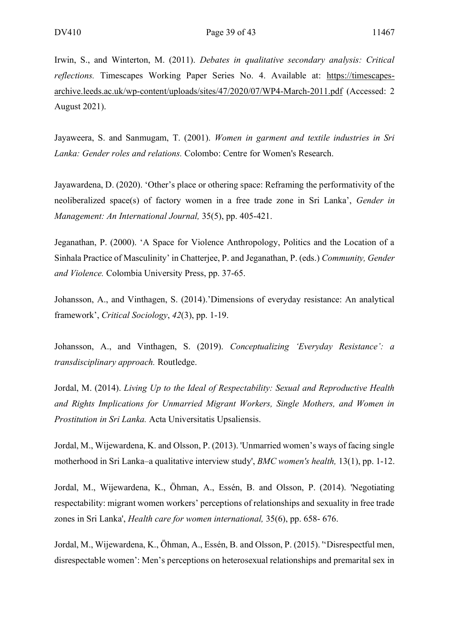Irwin, S., and Winterton, M. (2011). *Debates in qualitative secondary analysis: Critical reflections.* Timescapes Working Paper Series No. 4. Available at: [https://timescapes](https://timescapes-archive.leeds.ac.uk/wp-content/uploads/sites/47/2020/07/WP4-March-2011.pdf)[archive.leeds.ac.uk/wp-content/uploads/sites/47/2020/07/WP4-March-2011.pdf](https://timescapes-archive.leeds.ac.uk/wp-content/uploads/sites/47/2020/07/WP4-March-2011.pdf) (Accessed: 2 August 2021).

Jayaweera, S. and Sanmugam, T. (2001). *Women in garment and textile industries in Sri Lanka: Gender roles and relations.* Colombo: Centre for Women's Research.

Jayawardena, D. (2020). 'Other's place or othering space: Reframing the performativity of the neoliberalized space(s) of factory women in a free trade zone in Sri Lanka', *Gender in Management: An International Journal,* 35(5), pp. 405-421.

Jeganathan, P. (2000). 'A Space for Violence Anthropology, Politics and the Location of a Sinhala Practice of Masculinity' in Chatterjee, P. and Jeganathan, P. (eds.) *Community, Gender and Violence.* Colombia University Press, pp. 37-65.

Johansson, A., and Vinthagen, S. (2014).'Dimensions of everyday resistance: An analytical framework', *Critical Sociology*, *42*(3), pp. 1-19.

Johansson, A., and Vinthagen, S. (2019). *Conceptualizing 'Everyday Resistance': a transdisciplinary approach.* Routledge.

Jordal, M. (2014). *Living Up to the Ideal of Respectability: Sexual and Reproductive Health and Rights Implications for Unmarried Migrant Workers, Single Mothers, and Women in Prostitution in Sri Lanka.* Acta Universitatis Upsaliensis.

Jordal, M., Wijewardena, K. and Olsson, P. (2013). 'Unmarried women's ways of facing single motherhood in Sri Lanka–a qualitative interview study', *BMC women's health,* 13(1), pp. 1-12.

Jordal, M., Wijewardena, K., Öhman, A., Essén, B. and Olsson, P. (2014). 'Negotiating respectability: migrant women workers' perceptions of relationships and sexuality in free trade zones in Sri Lanka', *Health care for women international,* 35(6), pp. 658- 676.

Jordal, M., Wijewardena, K., Öhman, A., Essén, B. and Olsson, P. (2015). ''Disrespectful men, disrespectable women': Men's perceptions on heterosexual relationships and premarital sex in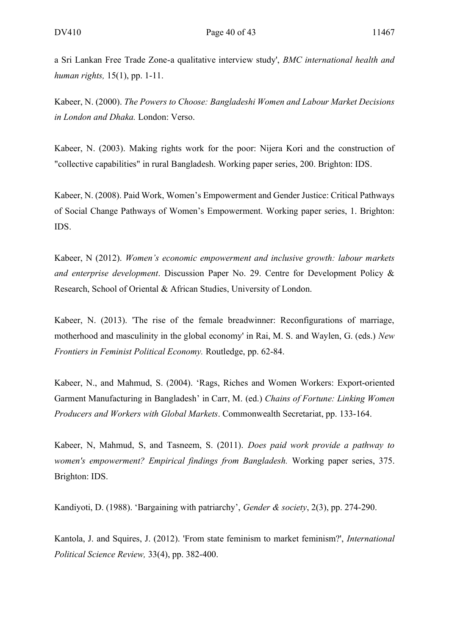a Sri Lankan Free Trade Zone-a qualitative interview study', *BMC international health and human rights,* 15(1), pp. 1-11.

Kabeer, N. (2000). *The Powers to Choose: Bangladeshi Women and Labour Market Decisions in London and Dhaka.* London: Verso.

Kabeer, N. (2003). Making rights work for the poor: Nijera Kori and the construction of "collective capabilities" in rural Bangladesh. Working paper series, 200. Brighton: IDS.

Kabeer, N. (2008). Paid Work, Women's Empowerment and Gender Justice: Critical Pathways of Social Change Pathways of Women's Empowerment. Working paper series, 1. Brighton: IDS.

Kabeer, N (2012). *Women's economic empowerment and inclusive growth: labour markets and enterprise development*. Discussion Paper No. 29. Centre for Development Policy & Research, School of Oriental & African Studies, University of London.

Kabeer, N. (2013). 'The rise of the female breadwinner: Reconfigurations of marriage, motherhood and masculinity in the global economy' in Rai, M. S. and Waylen, G. (eds.) *New Frontiers in Feminist Political Economy.* Routledge, pp. 62-84.

Kabeer, N., and Mahmud, S. (2004). 'Rags, Riches and Women Workers: Export-oriented Garment Manufacturing in Bangladesh' in Carr, M. (ed.) *Chains of Fortune: Linking Women Producers and Workers with Global Markets*. Commonwealth Secretariat, pp. 133-164.

Kabeer, N, Mahmud, S, and Tasneem, S. (2011). *Does paid work provide a pathway to women's empowerment? Empirical findings from Bangladesh.* Working paper series, 375. Brighton: IDS.

Kandiyoti, D. (1988). 'Bargaining with patriarchy', *Gender & society*, 2(3), pp. 274-290.

Kantola, J. and Squires, J. (2012). 'From state feminism to market feminism?', *International Political Science Review,* 33(4), pp. 382-400.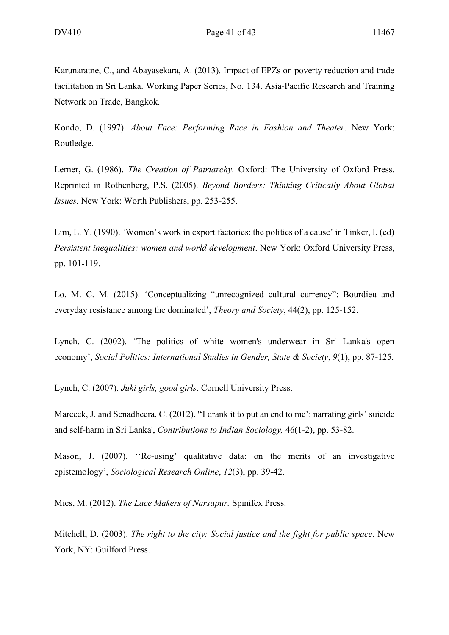Karunaratne, C., and Abayasekara, A. (2013). Impact of EPZs on poverty reduction and trade facilitation in Sri Lanka. Working Paper Series, No. 134. Asia-Pacific Research and Training Network on Trade, Bangkok.

Kondo, D. (1997). *About Face: Performing Race in Fashion and Theater*. New York: Routledge.

Lerner, G. (1986). *The Creation of Patriarchy.* Oxford: The University of Oxford Press. Reprinted in Rothenberg, P.S. (2005). *Beyond Borders: Thinking Critically About Global Issues.* New York: Worth Publishers, pp. 253-255.

Lim, L. Y. (1990). *'*Women's work in export factories: the politics of a cause' in Tinker, I. (ed) *Persistent inequalities: women and world development*. New York: Oxford University Press, pp. 101-119.

Lo, M. C. M. (2015). 'Conceptualizing "unrecognized cultural currency": Bourdieu and everyday resistance among the dominated', *Theory and Society*, 44(2), pp. 125-152.

Lynch, C. (2002). 'The politics of white women's underwear in Sri Lanka's open economy', *Social Politics: International Studies in Gender, State & Society*, *9*(1), pp. 87-125.

Lynch, C. (2007). *Juki girls, good girls*. Cornell University Press.

Marecek, J. and Senadheera, C. (2012). "I drank it to put an end to me': narrating girls' suicide and self-harm in Sri Lanka', *Contributions to Indian Sociology,* 46(1-2), pp. 53-82.

Mason, J. (2007). ''Re-using' qualitative data: on the merits of an investigative epistemology', *Sociological Research Online*, *12*(3), pp. 39-42.

Mies, M. (2012). *The Lace Makers of Narsapur.* Spinifex Press.

Mitchell, D. (2003). *The right to the city: Social justice and the fight for public space*. New York, NY: Guilford Press.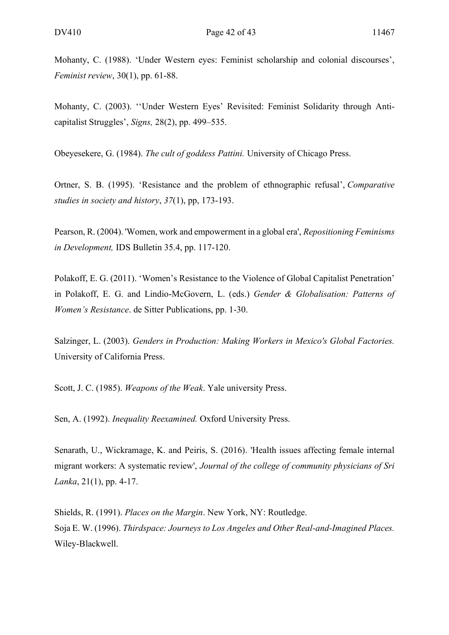Mohanty, C. (1988). 'Under Western eyes: Feminist scholarship and colonial discourses', *Feminist review*, 30(1), pp. 61-88.

Mohanty, C. (2003). ''Under Western Eyes' Revisited: Feminist Solidarity through Anticapitalist Struggles', *Signs,* 28(2), pp. 499–535.

Obeyesekere, G. (1984). *The cult of goddess Pattini.* University of Chicago Press.

Ortner, S. B. (1995). 'Resistance and the problem of ethnographic refusal', *Comparative studies in society and history*, *37*(1), pp, 173-193.

Pearson, R. (2004). 'Women, work and empowerment in a global era', *Repositioning Feminisms in Development,* IDS Bulletin 35.4, pp. 117-120.

Polakoff, E. G. (2011). 'Women's Resistance to the Violence of Global Capitalist Penetration' in Polakoff, E. G. and Lindio-McGovern, L. (eds.) *Gender & Globalisation: Patterns of Women's Resistance*. de Sitter Publications, pp. 1-30.

Salzinger, L. (2003). *Genders in Production: Making Workers in Mexico's Global Factories.* University of California Press.

Scott, J. C. (1985). *Weapons of the Weak*. Yale university Press.

Sen, A. (1992). *Inequality Reexamined.* Oxford University Press.

Senarath, U., Wickramage, K. and Peiris, S. (2016). 'Health issues affecting female internal migrant workers: A systematic review', *Journal of the college of community physicians of Sri Lanka*, 21(1), pp. 4-17.

Shields, R. (1991). *Places on the Margin*. New York, NY: Routledge. Soja E. W. (1996). *Thirdspace: Journeys to Los Angeles and Other Real-and-Imagined Places.* Wiley-Blackwell.